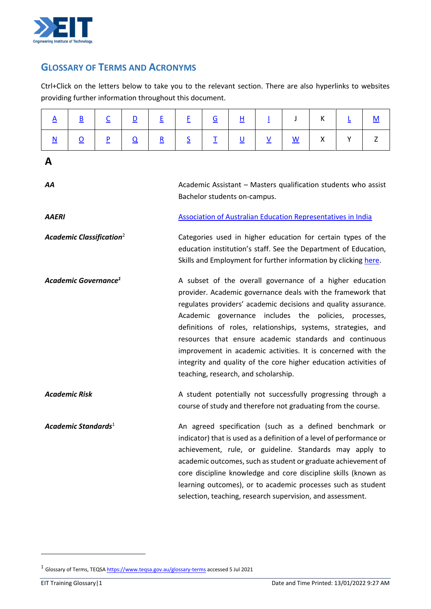

## **GLOSSARY OF TERMS AND ACRONYMS**

Ctrl+Click on the letters below to take you to the relevant section. There are also hyperlinks to websites providing further information throughout this document.

<span id="page-0-1"></span><span id="page-0-0"></span>

| $\mathbf{A}$                                | $\underline{\mathsf{B}}$ | $\underline{\mathsf{C}}$ | $\overline{\mathsf{D}}$ | E                                                                                                                                                                                                                                                                                                                                                                                                                                                                                                                                                             | E                                                                                                                                                                                                  | $\overline{G}$ | <u>н</u>                 | Ī                        | J                        | К | Ŀ | <u>M</u> |
|---------------------------------------------|--------------------------|--------------------------|-------------------------|---------------------------------------------------------------------------------------------------------------------------------------------------------------------------------------------------------------------------------------------------------------------------------------------------------------------------------------------------------------------------------------------------------------------------------------------------------------------------------------------------------------------------------------------------------------|----------------------------------------------------------------------------------------------------------------------------------------------------------------------------------------------------|----------------|--------------------------|--------------------------|--------------------------|---|---|----------|
| $\underline{\mathbf{N}}$                    | $\overline{\mathbf{o}}$  | $\overline{\mathsf{P}}$  | $\overline{\mathsf{Q}}$ | $\underline{\mathsf{R}}$                                                                                                                                                                                                                                                                                                                                                                                                                                                                                                                                      | $\overline{\mathsf{S}}$                                                                                                                                                                            | Ι              | $\underline{\mathsf{U}}$ | $\underline{\mathsf{V}}$ | $\underline{\mathsf{w}}$ | X | Y | Z        |
| A                                           |                          |                          |                         |                                                                                                                                                                                                                                                                                                                                                                                                                                                                                                                                                               |                                                                                                                                                                                                    |                |                          |                          |                          |   |   |          |
| AA                                          |                          |                          |                         |                                                                                                                                                                                                                                                                                                                                                                                                                                                                                                                                                               | Academic Assistant - Masters qualification students who assist<br>Bachelor students on-campus.                                                                                                     |                |                          |                          |                          |   |   |          |
| <b>AAERI</b>                                |                          |                          |                         |                                                                                                                                                                                                                                                                                                                                                                                                                                                                                                                                                               | Association of Australian Education Representatives in India                                                                                                                                       |                |                          |                          |                          |   |   |          |
| <b>Academic Classification</b> <sup>2</sup> |                          |                          |                         |                                                                                                                                                                                                                                                                                                                                                                                                                                                                                                                                                               | Categories used in higher education for certain types of the<br>education institution's staff. See the Department of Education,<br>Skills and Employment for further information by clicking here. |                |                          |                          |                          |   |   |          |
| Academic Governance <sup>1</sup>            |                          |                          |                         | A subset of the overall governance of a higher education<br>provider. Academic governance deals with the framework that<br>regulates providers' academic decisions and quality assurance.<br>Academic governance includes the<br>policies, processes,<br>definitions of roles, relationships, systems, strategies, and<br>resources that ensure academic standards and continuous<br>improvement in academic activities. It is concerned with the<br>integrity and quality of the core higher education activities of<br>teaching, research, and scholarship. |                                                                                                                                                                                                    |                |                          |                          |                          |   |   |          |
| <b>Academic Risk</b>                        |                          |                          |                         | A student potentially not successfully progressing through a<br>course of study and therefore not graduating from the course.                                                                                                                                                                                                                                                                                                                                                                                                                                 |                                                                                                                                                                                                    |                |                          |                          |                          |   |   |          |
| Academic Standards $1$                      |                          |                          |                         | An agreed specification (such as a defined benchmark or<br>indicator) that is used as a definition of a level of performance or<br>achievement, rule, or guideline. Standards may apply to<br>academic outcomes, such as student or graduate achievement of<br>core discipline knowledge and core discipline skills (known as<br>learning outcomes), or to academic processes such as student<br>selection, teaching, research supervision, and assessment.                                                                                                   |                                                                                                                                                                                                    |                |                          |                          |                          |   |   |          |

 $\overline{a}$ 

<sup>&</sup>lt;sup>1</sup> Glossary of Terms, TEQSA https://www.tegsa.gov.au/glossary-terms accessed 5 Jul 2021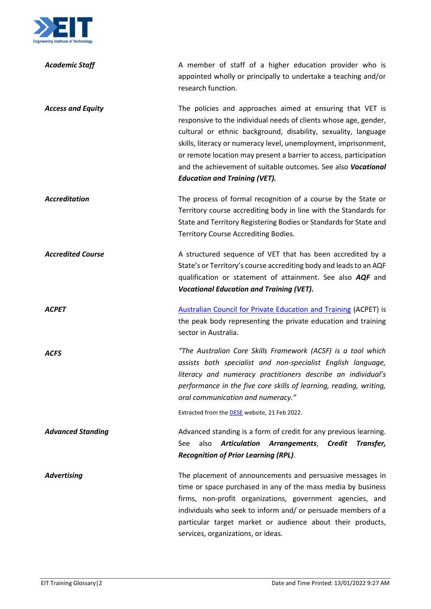

| <b>Academic Staff</b>    | A member of staff of a higher education provider who is<br>appointed wholly or principally to undertake a teaching and/or<br>research function.                                                                                                                                                                                                                                                                                                  |
|--------------------------|--------------------------------------------------------------------------------------------------------------------------------------------------------------------------------------------------------------------------------------------------------------------------------------------------------------------------------------------------------------------------------------------------------------------------------------------------|
| <b>Access and Equity</b> | The policies and approaches aimed at ensuring that VET is<br>responsive to the individual needs of clients whose age, gender,<br>cultural or ethnic background, disability, sexuality, language<br>skills, literacy or numeracy level, unemployment, imprisonment,<br>or remote location may present a barrier to access, participation<br>and the achievement of suitable outcomes. See also Vocational<br><b>Education and Training (VET).</b> |
| <b>Accreditation</b>     | The process of formal recognition of a course by the State or<br>Territory course accrediting body in line with the Standards for<br>State and Territory Registering Bodies or Standards for State and<br>Territory Course Accrediting Bodies.                                                                                                                                                                                                   |
| <b>Accredited Course</b> | A structured sequence of VET that has been accredited by a<br>State's or Territory's course accrediting body and leads to an AQF<br>qualification or statement of attainment. See also AQF and<br><b>Vocational Education and Training (VET).</b>                                                                                                                                                                                                |
| <b>ACPET</b>             | <b>Australian Council for Private Education and Training (ACPET) is</b><br>the peak body representing the private education and training<br>sector in Australia.                                                                                                                                                                                                                                                                                 |
| <b>ACFS</b>              | "The Australian Core Skills Framework (ACSF) is a tool which<br>assists both specialist and non-specialist English language,<br>literacy and numeracy practitioners describe an individual's<br>performance in the five core skills of learning, reading, writing,<br>oral communication and numeracy."                                                                                                                                          |
|                          | Extracted from the <b>DESE</b> website, 21 Feb 2022.                                                                                                                                                                                                                                                                                                                                                                                             |
| <b>Advanced Standing</b> | Advanced standing is a form of credit for any previous learning.<br>Articulation Arrangements, Credit<br>also<br>Transfer,<br>See<br><b>Recognition of Prior Learning (RPL).</b>                                                                                                                                                                                                                                                                 |
| <b>Advertising</b>       | The placement of announcements and persuasive messages in<br>time or space purchased in any of the mass media by business<br>firms, non-profit organizations, government agencies, and<br>individuals who seek to inform and/ or persuade members of a<br>particular target market or audience about their products,<br>services, organizations, or ideas.                                                                                       |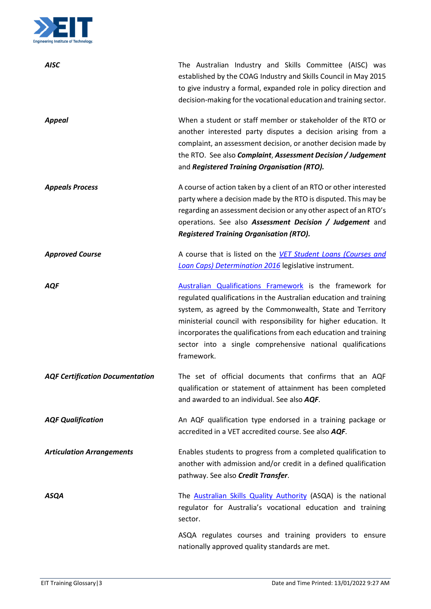

| <b>AISC</b>                            | The Australian Industry and Skills Committee (AISC) was<br>established by the COAG Industry and Skills Council in May 2015<br>to give industry a formal, expanded role in policy direction and<br>decision-making for the vocational education and training sector.                                                                                                                                             |
|----------------------------------------|-----------------------------------------------------------------------------------------------------------------------------------------------------------------------------------------------------------------------------------------------------------------------------------------------------------------------------------------------------------------------------------------------------------------|
| <b>Appeal</b>                          | When a student or staff member or stakeholder of the RTO or<br>another interested party disputes a decision arising from a<br>complaint, an assessment decision, or another decision made by<br>the RTO. See also Complaint, Assessment Decision / Judgement<br>and Registered Training Organisation (RTO).                                                                                                     |
| <b>Appeals Process</b>                 | A course of action taken by a client of an RTO or other interested<br>party where a decision made by the RTO is disputed. This may be<br>regarding an assessment decision or any other aspect of an RTO's<br>operations. See also Assessment Decision / Judgement and<br><b>Registered Training Organisation (RTO).</b>                                                                                         |
| <b>Approved Course</b>                 | A course that is listed on the VET Student Loans (Courses and<br>Loan Caps) Determination 2016 legislative instrument.                                                                                                                                                                                                                                                                                          |
| AQF                                    | Australian Qualifications Framework is the framework for<br>regulated qualifications in the Australian education and training<br>system, as agreed by the Commonwealth, State and Territory<br>ministerial council with responsibility for higher education. It<br>incorporates the qualifications from each education and training<br>sector into a single comprehensive national qualifications<br>framework. |
| <b>AQF Certification Documentation</b> | The set of official documents that confirms that an AQF<br>qualification or statement of attainment has been completed<br>and awarded to an individual. See also AQF.                                                                                                                                                                                                                                           |
| <b>AQF Qualification</b>               | An AQF qualification type endorsed in a training package or<br>accredited in a VET accredited course. See also AQF.                                                                                                                                                                                                                                                                                             |
| <b>Articulation Arrangements</b>       | Enables students to progress from a completed qualification to<br>another with admission and/or credit in a defined qualification<br>pathway. See also Credit Transfer.                                                                                                                                                                                                                                         |
| <b>ASQA</b>                            | The Australian Skills Quality Authority (ASQA) is the national<br>regulator for Australia's vocational education and training<br>sector.                                                                                                                                                                                                                                                                        |
|                                        | ASQA regulates courses and training providers to ensure<br>nationally approved quality standards are met.                                                                                                                                                                                                                                                                                                       |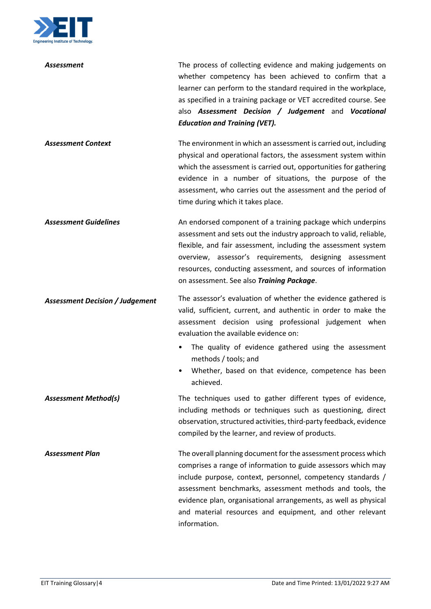

| Assessment                             | The process of collecting evidence and making judgements on<br>whether competency has been achieved to confirm that a<br>learner can perform to the standard required in the workplace,<br>as specified in a training package or VET accredited course. See<br>also Assessment Decision / Judgement and Vocational<br><b>Education and Training (VET).</b>                                                |
|----------------------------------------|-----------------------------------------------------------------------------------------------------------------------------------------------------------------------------------------------------------------------------------------------------------------------------------------------------------------------------------------------------------------------------------------------------------|
| <b>Assessment Context</b>              | The environment in which an assessment is carried out, including<br>physical and operational factors, the assessment system within<br>which the assessment is carried out, opportunities for gathering<br>evidence in a number of situations, the purpose of the<br>assessment, who carries out the assessment and the period of<br>time during which it takes place.                                     |
| <b>Assessment Guidelines</b>           | An endorsed component of a training package which underpins<br>assessment and sets out the industry approach to valid, reliable,<br>flexible, and fair assessment, including the assessment system<br>overview, assessor's requirements, designing assessment<br>resources, conducting assessment, and sources of information<br>on assessment. See also Training Package.                                |
| <b>Assessment Decision / Judgement</b> | The assessor's evaluation of whether the evidence gathered is<br>valid, sufficient, current, and authentic in order to make the<br>assessment decision using professional judgement when<br>evaluation the available evidence on:<br>The quality of evidence gathered using the assessment<br>$\bullet$<br>methods / tools; and<br>Whether, based on that evidence, competence has been<br>achieved.      |
| <b>Assessment Method(s)</b>            | The techniques used to gather different types of evidence,<br>including methods or techniques such as questioning, direct<br>observation, structured activities, third-party feedback, evidence<br>compiled by the learner, and review of products.                                                                                                                                                       |
| <b>Assessment Plan</b>                 | The overall planning document for the assessment process which<br>comprises a range of information to guide assessors which may<br>include purpose, context, personnel, competency standards /<br>assessment benchmarks, assessment methods and tools, the<br>evidence plan, organisational arrangements, as well as physical<br>and material resources and equipment, and other relevant<br>information. |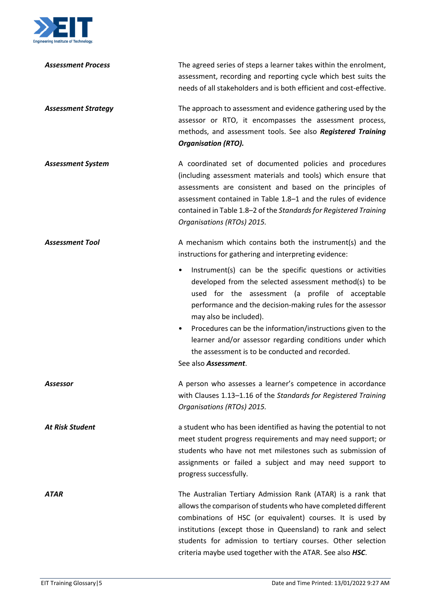

| <b>Assessment Process</b>  | The agreed series of steps a learner takes within the enrolment,<br>assessment, recording and reporting cycle which best suits the<br>needs of all stakeholders and is both efficient and cost-effective.                                                                                                                                                                                                                                                             |
|----------------------------|-----------------------------------------------------------------------------------------------------------------------------------------------------------------------------------------------------------------------------------------------------------------------------------------------------------------------------------------------------------------------------------------------------------------------------------------------------------------------|
| <b>Assessment Strategy</b> | The approach to assessment and evidence gathering used by the<br>assessor or RTO, it encompasses the assessment process,<br>methods, and assessment tools. See also Registered Training<br><b>Organisation (RTO).</b>                                                                                                                                                                                                                                                 |
| <b>Assessment System</b>   | A coordinated set of documented policies and procedures<br>(including assessment materials and tools) which ensure that<br>assessments are consistent and based on the principles of<br>assessment contained in Table 1.8-1 and the rules of evidence<br>contained in Table 1.8-2 of the Standards for Registered Training<br>Organisations (RTOs) 2015.                                                                                                              |
| <b>Assessment Tool</b>     | A mechanism which contains both the instrument(s) and the<br>instructions for gathering and interpreting evidence:                                                                                                                                                                                                                                                                                                                                                    |
|                            | Instrument(s) can be the specific questions or activities<br>developed from the selected assessment method(s) to be<br>used for the assessment (a profile of acceptable<br>performance and the decision-making rules for the assessor<br>may also be included).<br>Procedures can be the information/instructions given to the<br>learner and/or assessor regarding conditions under which<br>the assessment is to be conducted and recorded.<br>See also Assessment. |
| Assessor                   | A person who assesses a learner's competence in accordance<br>with Clauses 1.13-1.16 of the Standards for Registered Training<br>Organisations (RTOs) 2015.                                                                                                                                                                                                                                                                                                           |
| <b>At Risk Student</b>     | a student who has been identified as having the potential to not<br>meet student progress requirements and may need support; or<br>students who have not met milestones such as submission of<br>assignments or failed a subject and may need support to<br>progress successfully.                                                                                                                                                                                    |
| <b>ATAR</b>                | The Australian Tertiary Admission Rank (ATAR) is a rank that<br>allows the comparison of students who have completed different<br>combinations of HSC (or equivalent) courses. It is used by<br>institutions (except those in Queensland) to rank and select<br>students for admission to tertiary courses. Other selection<br>criteria maybe used together with the ATAR. See also HSC.                                                                              |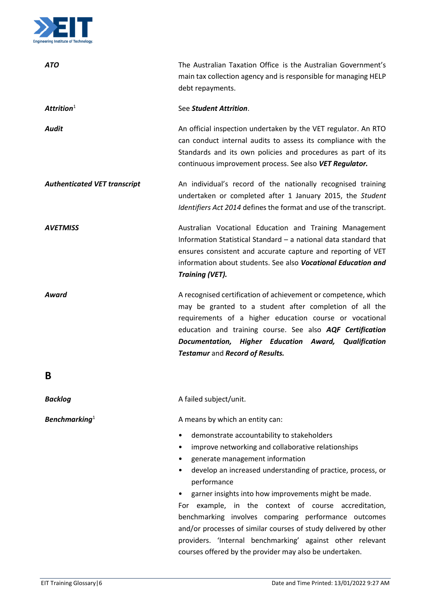

<span id="page-5-0"></span>

| <b>ATO</b>                          | The Australian Taxation Office is the Australian Government's<br>main tax collection agency and is responsible for managing HELP<br>debt repayments.                                                                                                                                                                                                                                                                                                                                                                                                                                      |
|-------------------------------------|-------------------------------------------------------------------------------------------------------------------------------------------------------------------------------------------------------------------------------------------------------------------------------------------------------------------------------------------------------------------------------------------------------------------------------------------------------------------------------------------------------------------------------------------------------------------------------------------|
| Attrition $1$                       | See Student Attrition.                                                                                                                                                                                                                                                                                                                                                                                                                                                                                                                                                                    |
| Audit                               | An official inspection undertaken by the VET regulator. An RTO<br>can conduct internal audits to assess its compliance with the<br>Standards and its own policies and procedures as part of its<br>continuous improvement process. See also VET Regulator.                                                                                                                                                                                                                                                                                                                                |
| <b>Authenticated VET transcript</b> | An individual's record of the nationally recognised training<br>undertaken or completed after 1 January 2015, the Student<br>Identifiers Act 2014 defines the format and use of the transcript.                                                                                                                                                                                                                                                                                                                                                                                           |
| <b>AVETMISS</b>                     | Australian Vocational Education and Training Management<br>Information Statistical Standard - a national data standard that<br>ensures consistent and accurate capture and reporting of VET<br>information about students. See also Vocational Education and<br><b>Training (VET).</b>                                                                                                                                                                                                                                                                                                    |
| Award                               | A recognised certification of achievement or competence, which<br>may be granted to a student after completion of all the<br>requirements of a higher education course or vocational<br>education and training course. See also AQF Certification<br>Documentation, Higher Education Award, Qualification<br>Testamur and Record of Results.                                                                                                                                                                                                                                              |
| B                                   |                                                                                                                                                                                                                                                                                                                                                                                                                                                                                                                                                                                           |
| <b>Backlog</b>                      | A failed subject/unit.                                                                                                                                                                                                                                                                                                                                                                                                                                                                                                                                                                    |
| <b>Benchmarking</b> <sup>1</sup>    | A means by which an entity can:                                                                                                                                                                                                                                                                                                                                                                                                                                                                                                                                                           |
|                                     | demonstrate accountability to stakeholders<br>٠<br>improve networking and collaborative relationships<br>generate management information<br>develop an increased understanding of practice, process, or<br>performance<br>garner insights into how improvements might be made.<br>For example, in the context of course accreditation,<br>benchmarking involves comparing performance outcomes<br>and/or processes of similar courses of study delivered by other<br>providers. 'Internal benchmarking' against other relevant<br>courses offered by the provider may also be undertaken. |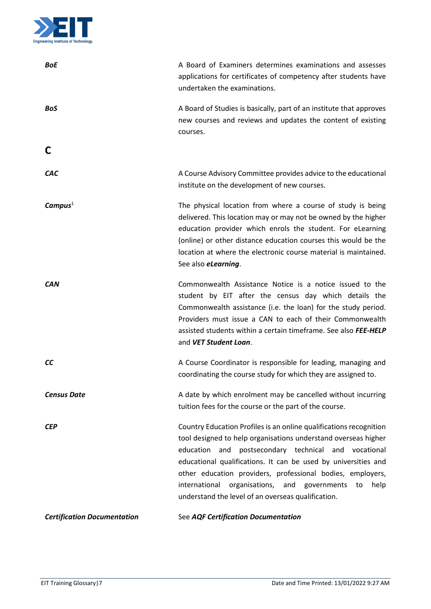

<span id="page-6-0"></span>

| <b>BoE</b>                         | A Board of Examiners determines examinations and assesses<br>applications for certificates of competency after students have<br>undertaken the examinations.                                                                                                                                                                                                                                                                                           |
|------------------------------------|--------------------------------------------------------------------------------------------------------------------------------------------------------------------------------------------------------------------------------------------------------------------------------------------------------------------------------------------------------------------------------------------------------------------------------------------------------|
| <b>BoS</b>                         | A Board of Studies is basically, part of an institute that approves<br>new courses and reviews and updates the content of existing<br>courses.                                                                                                                                                                                                                                                                                                         |
| C                                  |                                                                                                                                                                                                                                                                                                                                                                                                                                                        |
| <b>CAC</b>                         | A Course Advisory Committee provides advice to the educational<br>institute on the development of new courses.                                                                                                                                                                                                                                                                                                                                         |
| Campus <sup>1</sup>                | The physical location from where a course of study is being<br>delivered. This location may or may not be owned by the higher<br>education provider which enrols the student. For eLearning<br>(online) or other distance education courses this would be the<br>location at where the electronic course material is maintained.<br>See also <i>eLearning</i> .                                                                                        |
| <b>CAN</b>                         | Commonwealth Assistance Notice is a notice issued to the<br>student by EIT after the census day which details the<br>Commonwealth assistance (i.e. the loan) for the study period.<br>Providers must issue a CAN to each of their Commonwealth<br>assisted students within a certain timeframe. See also FEE-HELP<br>and VET Student Loan.                                                                                                             |
| <b>CC</b>                          | A Course Coordinator is responsible for leading, managing and<br>coordinating the course study for which they are assigned to.                                                                                                                                                                                                                                                                                                                         |
| <b>Census Date</b>                 | A date by which enrolment may be cancelled without incurring<br>tuition fees for the course or the part of the course.                                                                                                                                                                                                                                                                                                                                 |
| <b>CEP</b>                         | Country Education Profiles is an online qualifications recognition<br>tool designed to help organisations understand overseas higher<br>postsecondary technical and vocational<br>education<br>and<br>educational qualifications. It can be used by universities and<br>other education providers, professional bodies, employers,<br>international organisations, and governments<br>help<br>to<br>understand the level of an overseas qualification. |
| <b>Certification Documentation</b> | See AQF Certification Documentation                                                                                                                                                                                                                                                                                                                                                                                                                    |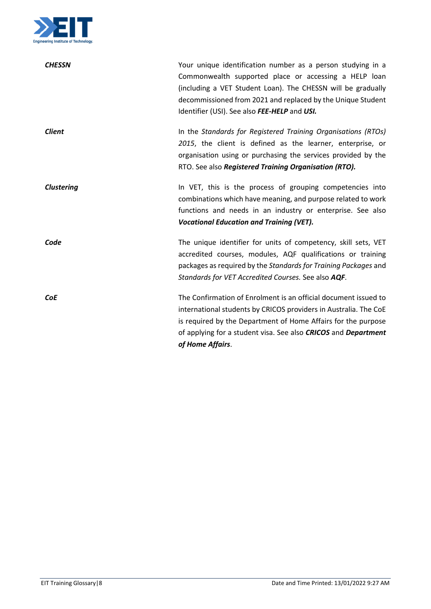

| <b>CHESSN</b>     | Your unique identification number as a person studying in a<br>Commonwealth supported place or accessing a HELP loan<br>(including a VET Student Loan). The CHESSN will be gradually<br>decommissioned from 2021 and replaced by the Unique Student<br>Identifier (USI). See also FEE-HELP and USI.      |
|-------------------|----------------------------------------------------------------------------------------------------------------------------------------------------------------------------------------------------------------------------------------------------------------------------------------------------------|
| <b>Client</b>     | In the Standards for Registered Training Organisations (RTOs)<br>2015, the client is defined as the learner, enterprise, or<br>organisation using or purchasing the services provided by the<br>RTO. See also Registered Training Organisation (RTO).                                                    |
| <b>Clustering</b> | In VET, this is the process of grouping competencies into<br>combinations which have meaning, and purpose related to work<br>functions and needs in an industry or enterprise. See also<br><b>Vocational Education and Training (VET).</b>                                                               |
| Code              | The unique identifier for units of competency, skill sets, VET<br>accredited courses, modules, AQF qualifications or training<br>packages as required by the Standards for Training Packages and<br>Standards for VET Accredited Courses. See also AQF.                                                  |
| <b>CoE</b>        | The Confirmation of Enrolment is an official document issued to<br>international students by CRICOS providers in Australia. The CoE<br>is required by the Department of Home Affairs for the purpose<br>of applying for a student visa. See also <b>CRICOS</b> and <b>Department</b><br>of Home Affairs. |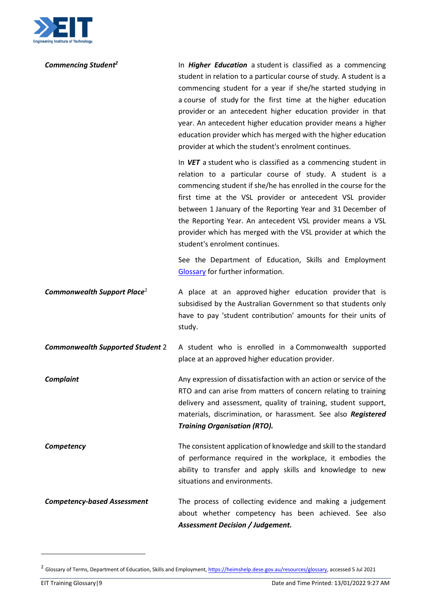

<span id="page-8-0"></span>

| Commencing Student <sup>2</sup>         | In <b>Higher Education</b> a student is classified as a commencing<br>student in relation to a particular course of study. A student is a<br>commencing student for a year if she/he started studying in<br>a course of study for the first time at the higher education<br>provider or an antecedent higher education provider in that<br>year. An antecedent higher education provider means a higher<br>education provider which has merged with the higher education<br>provider at which the student's enrolment continues. |
|-----------------------------------------|----------------------------------------------------------------------------------------------------------------------------------------------------------------------------------------------------------------------------------------------------------------------------------------------------------------------------------------------------------------------------------------------------------------------------------------------------------------------------------------------------------------------------------|
|                                         | In VET a student who is classified as a commencing student in<br>relation to a particular course of study. A student is a<br>commencing student if she/he has enrolled in the course for the<br>first time at the VSL provider or antecedent VSL provider<br>between 1 January of the Reporting Year and 31 December of<br>the Reporting Year. An antecedent VSL provider means a VSL<br>provider which has merged with the VSL provider at which the<br>student's enrolment continues.                                          |
|                                         | See the Department of Education, Skills and Employment<br>Glossary for further information.                                                                                                                                                                                                                                                                                                                                                                                                                                      |
| Commonwealth Support Place <sup>2</sup> | A place at an approved higher education provider that is<br>subsidised by the Australian Government so that students only<br>have to pay 'student contribution' amounts for their units of<br>study.                                                                                                                                                                                                                                                                                                                             |
| <b>Commonwealth Supported Student 2</b> | A student who is enrolled in a Commonwealth supported<br>place at an approved higher education provider.                                                                                                                                                                                                                                                                                                                                                                                                                         |
| <b>Complaint</b>                        | Any expression of dissatisfaction with an action or service of the<br>RTO and can arise from matters of concern relating to training<br>delivery and assessment, quality of training, student support,<br>materials, discrimination, or harassment. See also Registered<br><b>Training Organisation (RTO).</b>                                                                                                                                                                                                                   |
| Competency                              | The consistent application of knowledge and skill to the standard<br>of performance required in the workplace, it embodies the<br>ability to transfer and apply skills and knowledge to new<br>situations and environments.                                                                                                                                                                                                                                                                                                      |
| <b>Competency-based Assessment</b>      | The process of collecting evidence and making a judgement<br>about whether competency has been achieved. See also<br><b>Assessment Decision / Judgement.</b>                                                                                                                                                                                                                                                                                                                                                                     |

 $\overline{a}$ 

<sup>&</sup>lt;sup>2</sup> Glossary of Terms, Department of Education, Skills and Employment, [https://heimshelp.dese.gov.au/resources/glossary,](https://heimshelp.dese.gov.au/resources/glossary) accessed 5 Jul 2021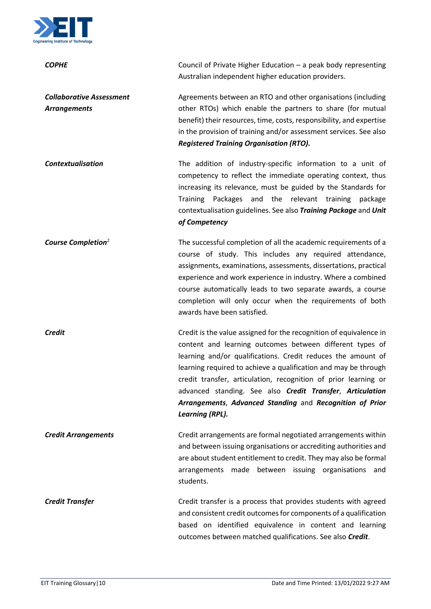

| <b>COPHE</b>                                           | Council of Private Higher Education $-$ a peak body representing                                                                                                                                                                                                                                                                                                                                                                                                                 |
|--------------------------------------------------------|----------------------------------------------------------------------------------------------------------------------------------------------------------------------------------------------------------------------------------------------------------------------------------------------------------------------------------------------------------------------------------------------------------------------------------------------------------------------------------|
|                                                        | Australian independent higher education providers.                                                                                                                                                                                                                                                                                                                                                                                                                               |
| <b>Collaborative Assessment</b><br><b>Arrangements</b> | Agreements between an RTO and other organisations (including<br>other RTOs) which enable the partners to share (for mutual<br>benefit) their resources, time, costs, responsibility, and expertise<br>in the provision of training and/or assessment services. See also<br><b>Registered Training Organisation (RTO).</b>                                                                                                                                                        |
| <b>Contextualisation</b>                               | The addition of industry-specific information to a unit of<br>competency to reflect the immediate operating context, thus<br>increasing its relevance, must be guided by the Standards for<br>Packages<br>and the relevant training<br><b>Training</b><br>package<br>contextualisation guidelines. See also Training Package and Unit<br>of Competency                                                                                                                           |
| Course Completion <sup>2</sup>                         | The successful completion of all the academic requirements of a<br>course of study. This includes any required attendance,<br>assignments, examinations, assessments, dissertations, practical<br>experience and work experience in industry. Where a combined<br>course automatically leads to two separate awards, a course<br>completion will only occur when the requirements of both<br>awards have been satisfied.                                                         |
| Credit                                                 | Credit is the value assigned for the recognition of equivalence in<br>content and learning outcomes between different types of<br>learning and/or qualifications. Credit reduces the amount of<br>learning required to achieve a qualification and may be through<br>credit transfer, articulation, recognition of prior learning or<br>advanced standing. See also Credit Transfer, Articulation<br>Arrangements, Advanced Standing and Recognition of Prior<br>Learning (RPL). |
| <b>Credit Arrangements</b>                             | Credit arrangements are formal negotiated arrangements within<br>and between issuing organisations or accrediting authorities and<br>are about student entitlement to credit. They may also be formal<br>arrangements made between issuing organisations<br>and<br>students.                                                                                                                                                                                                     |
| <b>Credit Transfer</b>                                 | Credit transfer is a process that provides students with agreed<br>and consistent credit outcomes for components of a qualification<br>based on identified equivalence in content and learning<br>outcomes between matched qualifications. See also Credit.                                                                                                                                                                                                                      |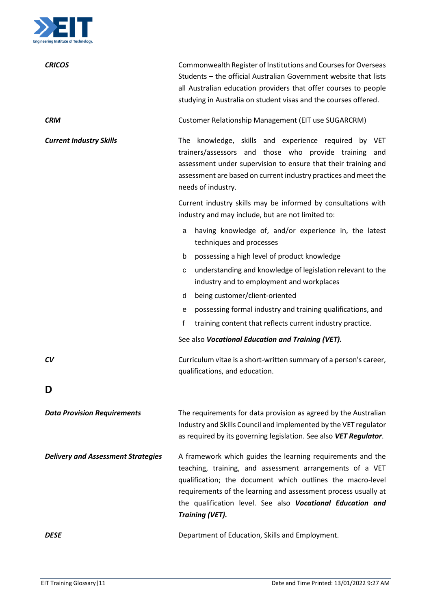

<span id="page-10-0"></span>

| <b>CRICOS</b>                             | Commonwealth Register of Institutions and Courses for Overseas<br>Students - the official Australian Government website that lists<br>all Australian education providers that offer courses to people<br>studying in Australia on student visas and the courses offered.                                                                       |
|-------------------------------------------|------------------------------------------------------------------------------------------------------------------------------------------------------------------------------------------------------------------------------------------------------------------------------------------------------------------------------------------------|
| <b>CRM</b>                                | Customer Relationship Management (EIT use SUGARCRM)                                                                                                                                                                                                                                                                                            |
| <b>Current Industry Skills</b>            | The knowledge, skills and experience required by VET<br>trainers/assessors and those who provide training<br>and<br>assessment under supervision to ensure that their training and<br>assessment are based on current industry practices and meet the<br>needs of industry.                                                                    |
|                                           | Current industry skills may be informed by consultations with<br>industry and may include, but are not limited to:                                                                                                                                                                                                                             |
|                                           | having knowledge of, and/or experience in, the latest<br>a<br>techniques and processes                                                                                                                                                                                                                                                         |
|                                           | b<br>possessing a high level of product knowledge                                                                                                                                                                                                                                                                                              |
|                                           | understanding and knowledge of legislation relevant to the<br>c<br>industry and to employment and workplaces                                                                                                                                                                                                                                   |
|                                           | being customer/client-oriented<br>d                                                                                                                                                                                                                                                                                                            |
|                                           | possessing formal industry and training qualifications, and<br>е                                                                                                                                                                                                                                                                               |
|                                           | f<br>training content that reflects current industry practice.                                                                                                                                                                                                                                                                                 |
|                                           | See also Vocational Education and Training (VET).                                                                                                                                                                                                                                                                                              |
| CV                                        | Curriculum vitae is a short-written summary of a person's career,<br>qualifications, and education.                                                                                                                                                                                                                                            |
| D                                         |                                                                                                                                                                                                                                                                                                                                                |
| <b>Data Provision Requirements</b>        | The requirements for data provision as agreed by the Australian<br>Industry and Skills Council and implemented by the VET regulator<br>as required by its governing legislation. See also VET Regulator.                                                                                                                                       |
| <b>Delivery and Assessment Strategies</b> | A framework which guides the learning requirements and the<br>teaching, training, and assessment arrangements of a VET<br>qualification; the document which outlines the macro-level<br>requirements of the learning and assessment process usually at<br>the qualification level. See also Vocational Education and<br><b>Training (VET).</b> |
| DESE                                      | Department of Education, Skills and Employment.                                                                                                                                                                                                                                                                                                |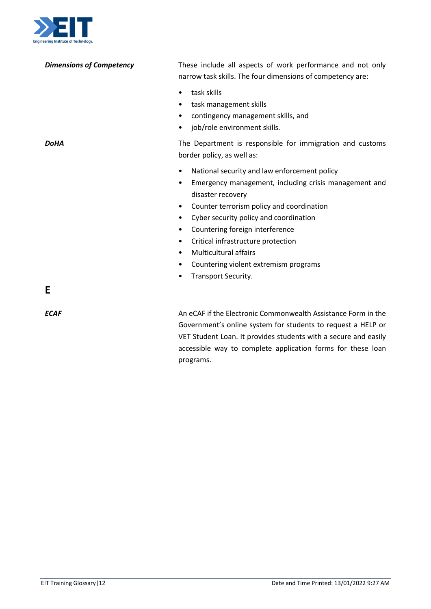

| neering Institute of Technology. |                                                                                                                                                                                                  |
|----------------------------------|--------------------------------------------------------------------------------------------------------------------------------------------------------------------------------------------------|
| <b>Dimensions of Competency</b>  | These include all aspects of work performance and not only<br>narrow task skills. The four dimensions of competency are:                                                                         |
|                                  | task skills<br>$\bullet$<br>task management skills<br>$\bullet$<br>contingency management skills, and<br>job/role environment skills.<br>٠                                                       |
| <b>DoHA</b>                      | The Department is responsible for immigration and customs<br>border policy, as well as:                                                                                                          |
|                                  | National security and law enforcement policy<br>$\bullet$<br>Emergency management, including crisis management and<br>٠<br>disaster recovery                                                     |
|                                  | Counter terrorism policy and coordination<br>٠                                                                                                                                                   |
|                                  | Cyber security policy and coordination<br>$\bullet$<br>Countering foreign interference<br>$\bullet$                                                                                              |
|                                  | Critical infrastructure protection<br>٠                                                                                                                                                          |
|                                  | <b>Multicultural affairs</b><br>٠                                                                                                                                                                |
|                                  | Countering violent extremism programs<br>٠                                                                                                                                                       |
|                                  | Transport Security.<br>٠                                                                                                                                                                         |
| E                                |                                                                                                                                                                                                  |
| <b>ECAF</b>                      | An eCAF if the Electronic Commonwealth Assistance Form in the<br>Government's online system for students to request a HELP or<br>VET Student Loan. It provides students with a secure and easily |

programs.

<span id="page-11-0"></span>accessible way to complete application forms for these loan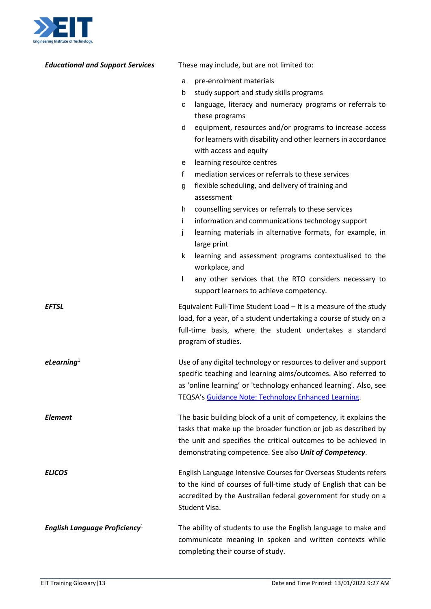

| <b>Educational and Support Services</b>   | These may include, but are not limited to:                                                                                                                                                                                                                       |
|-------------------------------------------|------------------------------------------------------------------------------------------------------------------------------------------------------------------------------------------------------------------------------------------------------------------|
|                                           | pre-enrolment materials<br>a                                                                                                                                                                                                                                     |
|                                           | study support and study skills programs<br>b                                                                                                                                                                                                                     |
|                                           | language, literacy and numeracy programs or referrals to<br>с                                                                                                                                                                                                    |
|                                           | these programs                                                                                                                                                                                                                                                   |
|                                           | equipment, resources and/or programs to increase access<br>d                                                                                                                                                                                                     |
|                                           | for learners with disability and other learners in accordance                                                                                                                                                                                                    |
|                                           | with access and equity                                                                                                                                                                                                                                           |
|                                           | learning resource centres<br>е                                                                                                                                                                                                                                   |
|                                           | mediation services or referrals to these services<br>f                                                                                                                                                                                                           |
|                                           | flexible scheduling, and delivery of training and<br>g<br>assessment                                                                                                                                                                                             |
|                                           | counselling services or referrals to these services<br>h.                                                                                                                                                                                                        |
|                                           | i.<br>information and communications technology support                                                                                                                                                                                                          |
|                                           | learning materials in alternative formats, for example, in<br>j.<br>large print                                                                                                                                                                                  |
|                                           | learning and assessment programs contextualised to the<br>k<br>workplace, and                                                                                                                                                                                    |
|                                           | any other services that the RTO considers necessary to<br>L<br>support learners to achieve competency.                                                                                                                                                           |
| <b>EFTSL</b>                              | Equivalent Full-Time Student Load - It is a measure of the study<br>load, for a year, of a student undertaking a course of study on a<br>full-time basis, where the student undertakes a standard<br>program of studies.                                         |
| $e$ Learning $1$                          | Use of any digital technology or resources to deliver and support<br>specific teaching and learning aims/outcomes. Also referred to<br>as 'online learning' or 'technology enhanced learning'. Also, see<br>TEQSA's Guidance Note: Technology Enhanced Learning. |
| <b>Element</b>                            | The basic building block of a unit of competency, it explains the<br>tasks that make up the broader function or job as described by<br>the unit and specifies the critical outcomes to be achieved in<br>demonstrating competence. See also Unit of Competency.  |
| <b>ELICOS</b>                             | English Language Intensive Courses for Overseas Students refers<br>to the kind of courses of full-time study of English that can be<br>accredited by the Australian federal government for study on a<br>Student Visa.                                           |
| English Language Proficiency <sup>1</sup> | The ability of students to use the English language to make and<br>communicate meaning in spoken and written contexts while<br>completing their course of study.                                                                                                 |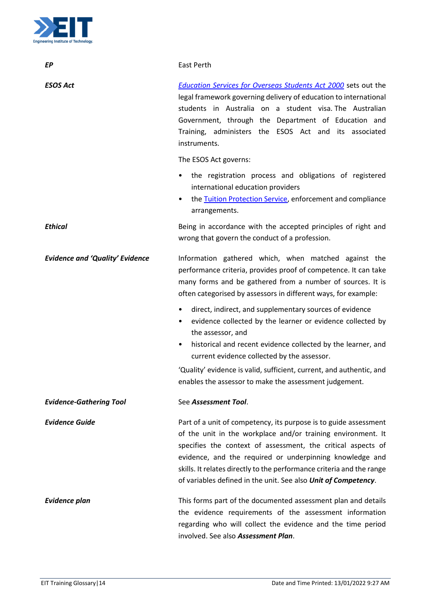

| EP                                     | East Perth                                                                                                                                                                                                                                                                                                                                                                                                         |
|----------------------------------------|--------------------------------------------------------------------------------------------------------------------------------------------------------------------------------------------------------------------------------------------------------------------------------------------------------------------------------------------------------------------------------------------------------------------|
| <b>ESOS Act</b>                        | <b>Education Services for Overseas Students Act 2000</b> sets out the<br>legal framework governing delivery of education to international<br>students in Australia on a student visa. The Australian<br>Government, through the Department of Education and<br>Training, administers the ESOS Act and its associated<br>instruments.                                                                               |
|                                        | The ESOS Act governs:                                                                                                                                                                                                                                                                                                                                                                                              |
|                                        | the registration process and obligations of registered<br>٠<br>international education providers<br>the Tuition Protection Service, enforcement and compliance<br>arrangements.                                                                                                                                                                                                                                    |
| <b>Ethical</b>                         | Being in accordance with the accepted principles of right and<br>wrong that govern the conduct of a profession.                                                                                                                                                                                                                                                                                                    |
| <b>Evidence and 'Quality' Evidence</b> | Information gathered which, when matched against the<br>performance criteria, provides proof of competence. It can take<br>many forms and be gathered from a number of sources. It is<br>often categorised by assessors in different ways, for example:<br>direct, indirect, and supplementary sources of evidence<br>$\bullet$<br>evidence collected by the learner or evidence collected by<br>the assessor, and |
|                                        | historical and recent evidence collected by the learner, and<br>$\bullet$<br>current evidence collected by the assessor.                                                                                                                                                                                                                                                                                           |
|                                        | 'Quality' evidence is valid, sufficient, current, and authentic, and<br>enables the assessor to make the assessment judgement.                                                                                                                                                                                                                                                                                     |
| <b>Evidence-Gathering Tool</b>         | See Assessment Tool.                                                                                                                                                                                                                                                                                                                                                                                               |
| <b>Evidence Guide</b>                  | Part of a unit of competency, its purpose is to guide assessment<br>of the unit in the workplace and/or training environment. It<br>specifies the context of assessment, the critical aspects of<br>evidence, and the required or underpinning knowledge and<br>skills. It relates directly to the performance criteria and the range<br>of variables defined in the unit. See also Unit of Competency.            |
| <b>Evidence plan</b>                   | This forms part of the documented assessment plan and details<br>the evidence requirements of the assessment information<br>regarding who will collect the evidence and the time period<br>involved. See also Assessment Plan.                                                                                                                                                                                     |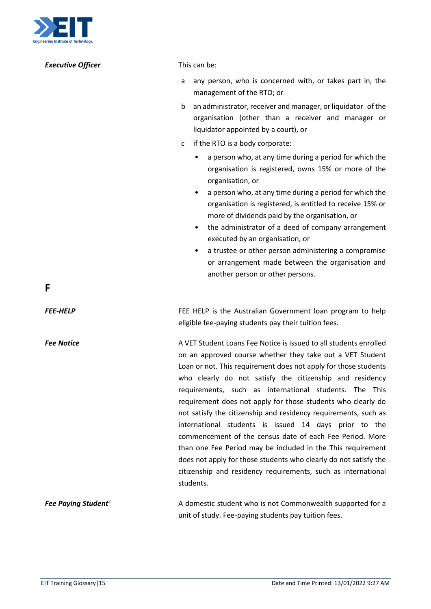

<span id="page-14-0"></span>

| <b>Executive Officer</b>        | This can be:                                                                                                                                                                                                                                                                                                                                                                                                                                                                                                                                                                                                                                                                                                                                                                                     |
|---------------------------------|--------------------------------------------------------------------------------------------------------------------------------------------------------------------------------------------------------------------------------------------------------------------------------------------------------------------------------------------------------------------------------------------------------------------------------------------------------------------------------------------------------------------------------------------------------------------------------------------------------------------------------------------------------------------------------------------------------------------------------------------------------------------------------------------------|
|                                 | any person, who is concerned with, or takes part in, the<br>a<br>management of the RTO; or                                                                                                                                                                                                                                                                                                                                                                                                                                                                                                                                                                                                                                                                                                       |
|                                 | an administrator, receiver and manager, or liquidator of the<br>b<br>organisation (other than a receiver and manager or<br>liquidator appointed by a court), or                                                                                                                                                                                                                                                                                                                                                                                                                                                                                                                                                                                                                                  |
|                                 | if the RTO is a body corporate:<br>c                                                                                                                                                                                                                                                                                                                                                                                                                                                                                                                                                                                                                                                                                                                                                             |
| F                               | a person who, at any time during a period for which the<br>organisation is registered, owns 15% or more of the<br>organisation, or<br>a person who, at any time during a period for which the<br>organisation is registered, is entitled to receive 15% or<br>more of dividends paid by the organisation, or<br>the administrator of a deed of company arrangement<br>$\bullet$<br>executed by an organisation, or<br>a trustee or other person administering a compromise<br>٠<br>or arrangement made between the organisation and<br>another person or other persons.                                                                                                                                                                                                                          |
| <b>FEE-HELP</b>                 |                                                                                                                                                                                                                                                                                                                                                                                                                                                                                                                                                                                                                                                                                                                                                                                                  |
|                                 | FEE HELP is the Australian Government loan program to help<br>eligible fee-paying students pay their tuition fees.                                                                                                                                                                                                                                                                                                                                                                                                                                                                                                                                                                                                                                                                               |
| <b>Fee Notice</b>               | A VET Student Loans Fee Notice is issued to all students enrolled<br>on an approved course whether they take out a VET Student<br>Loan or not. This requirement does not apply for those students<br>who clearly do not satisfy the citizenship and residency<br>requirements, such as international students. The This<br>requirement does not apply for those students who clearly do<br>not satisfy the citizenship and residency requirements, such as<br>international students is issued 14 days prior to the<br>commencement of the census date of each Fee Period. More<br>than one Fee Period may be included in the This requirement<br>does not apply for those students who clearly do not satisfy the<br>citizenship and residency requirements, such as international<br>students. |
| Fee Paying Student <sup>2</sup> | A domestic student who is not Commonwealth supported for a<br>unit of study. Fee-paying students pay tuition fees.                                                                                                                                                                                                                                                                                                                                                                                                                                                                                                                                                                                                                                                                               |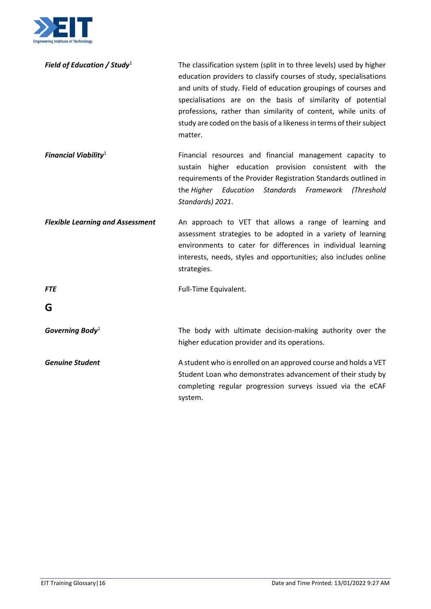

| Field of Education / Study $1$ | The classification system (split in to three levels) used by higher  |
|--------------------------------|----------------------------------------------------------------------|
|                                | education providers to classify courses of study, specialisations    |
|                                | and units of study. Field of education groupings of courses and      |
|                                | specialisations are on the basis of similarity of potential          |
|                                | professions, rather than similarity of content, while units of       |
|                                | study are coded on the basis of a likeness in terms of their subject |
|                                | matter.                                                              |

*Financial Viabilit[y](#page-0-1)*<sup>1</sup> Financial resources and financial management capacity to sustain higher education provision consistent with the requirements of the Provider Registration Standards outlined in the *Higher Education Standards Framework (Threshold Standards) 2021*.

*Flexible Learning and Assessment* An approach to VET that allows a range of learning and assessment strategies to be adopted in a variety of learning environments to cater for differences in individual learning interests, needs, styles and opportunities; also includes online strategies.

**FTE** Full-Time Equivalent.

<span id="page-15-0"></span>**G**

**Governing Body**<sup>[1](#page-0-1)</sup> The body with ultimate decision-making authority over the higher education provider and its operations.

**Genuine Student A** student who is enrolled on an approved course and holds a VET Student Loan who demonstrates advancement of their study by completing regular progression surveys issued via the eCAF system.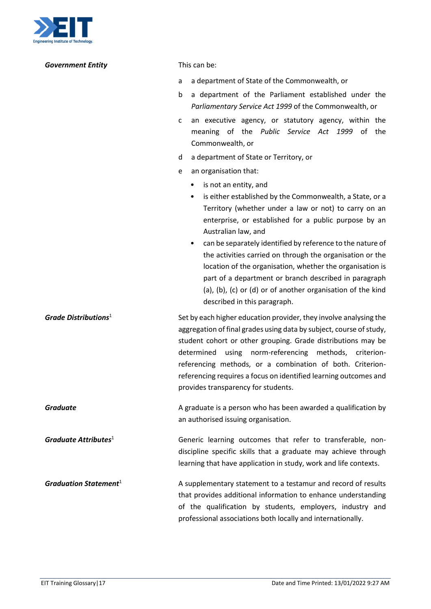

| <b>Government Entity</b>         | This can be:                                                                                                                                                                                                                                                                                                                                                                                                                                                                                                                                                                    |
|----------------------------------|---------------------------------------------------------------------------------------------------------------------------------------------------------------------------------------------------------------------------------------------------------------------------------------------------------------------------------------------------------------------------------------------------------------------------------------------------------------------------------------------------------------------------------------------------------------------------------|
|                                  | a department of State of the Commonwealth, or<br>a                                                                                                                                                                                                                                                                                                                                                                                                                                                                                                                              |
|                                  | a department of the Parliament established under the<br>b<br>Parliamentary Service Act 1999 of the Commonwealth, or                                                                                                                                                                                                                                                                                                                                                                                                                                                             |
|                                  | an executive agency, or statutory agency, within the<br>c<br>meaning of the Public Service Act 1999 of the<br>Commonwealth, or                                                                                                                                                                                                                                                                                                                                                                                                                                                  |
|                                  | a department of State or Territory, or<br>d                                                                                                                                                                                                                                                                                                                                                                                                                                                                                                                                     |
|                                  | an organisation that:<br>e                                                                                                                                                                                                                                                                                                                                                                                                                                                                                                                                                      |
|                                  | is not an entity, and<br>٠<br>is either established by the Commonwealth, a State, or a<br>Territory (whether under a law or not) to carry on an<br>enterprise, or established for a public purpose by an<br>Australian law, and<br>can be separately identified by reference to the nature of<br>the activities carried on through the organisation or the<br>location of the organisation, whether the organisation is<br>part of a department or branch described in paragraph<br>(a), (b), (c) or (d) or of another organisation of the kind<br>described in this paragraph. |
| Grade Distributions <sup>1</sup> | Set by each higher education provider, they involve analysing the<br>aggregation of final grades using data by subject, course of study,<br>student cohort or other grouping. Grade distributions may be<br>determined<br>norm-referencing methods, criterion-<br>using<br>referencing methods, or a combination of both. Criterion-<br>referencing requires a focus on identified learning outcomes and<br>provides transparency for students.                                                                                                                                 |
| <b>Graduate</b>                  | A graduate is a person who has been awarded a qualification by<br>an authorised issuing organisation.                                                                                                                                                                                                                                                                                                                                                                                                                                                                           |
| Graduate Attributes $1$          | Generic learning outcomes that refer to transferable, non-<br>discipline specific skills that a graduate may achieve through<br>learning that have application in study, work and life contexts.                                                                                                                                                                                                                                                                                                                                                                                |
| Graduation Statement $1$         | A supplementary statement to a testamur and record of results<br>that provides additional information to enhance understanding<br>of the qualification by students, employers, industry and<br>professional associations both locally and internationally.                                                                                                                                                                                                                                                                                                                      |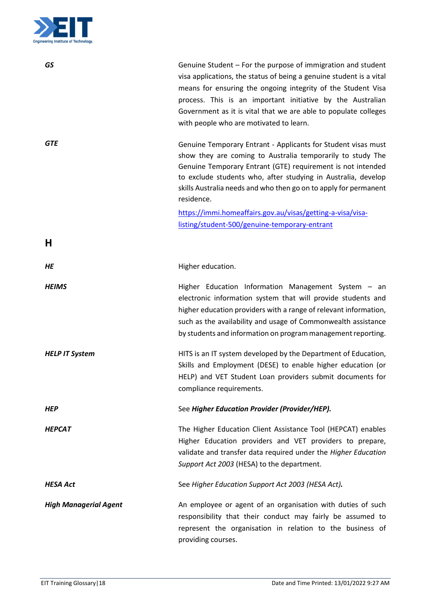

<span id="page-17-0"></span>

| <b>GS</b>                    | Genuine Student - For the purpose of immigration and student<br>visa applications, the status of being a genuine student is a vital<br>means for ensuring the ongoing integrity of the Student Visa<br>process. This is an important initiative by the Australian<br>Government as it is vital that we are able to populate colleges<br>with people who are motivated to learn. |
|------------------------------|---------------------------------------------------------------------------------------------------------------------------------------------------------------------------------------------------------------------------------------------------------------------------------------------------------------------------------------------------------------------------------|
| <b>GTE</b>                   | Genuine Temporary Entrant - Applicants for Student visas must<br>show they are coming to Australia temporarily to study The<br>Genuine Temporary Entrant (GTE) requirement is not intended<br>to exclude students who, after studying in Australia, develop<br>skills Australia needs and who then go on to apply for permanent<br>residence.                                   |
|                              | https://immi.homeaffairs.gov.au/visas/getting-a-visa/visa-<br>listing/student-500/genuine-temporary-entrant                                                                                                                                                                                                                                                                     |
| Н                            |                                                                                                                                                                                                                                                                                                                                                                                 |
| HE                           | Higher education.                                                                                                                                                                                                                                                                                                                                                               |
| <b>HEIMS</b>                 | Higher Education Information Management System - an<br>electronic information system that will provide students and<br>higher education providers with a range of relevant information,<br>such as the availability and usage of Commonwealth assistance<br>by students and information on program management reporting.                                                        |
| <b>HELP IT System</b>        | HITS is an IT system developed by the Department of Education,<br>Skills and Employment (DESE) to enable higher education (or<br>HELP) and VET Student Loan providers submit documents for<br>compliance requirements.                                                                                                                                                          |
| <b>HEP</b>                   | See Higher Education Provider (Provider/HEP).                                                                                                                                                                                                                                                                                                                                   |
| <b>HEPCAT</b>                | The Higher Education Client Assistance Tool (HEPCAT) enables<br>Higher Education providers and VET providers to prepare,<br>validate and transfer data required under the Higher Education<br>Support Act 2003 (HESA) to the department.                                                                                                                                        |
| <b>HESA Act</b>              | See Higher Education Support Act 2003 (HESA Act).                                                                                                                                                                                                                                                                                                                               |
| <b>High Managerial Agent</b> | An employee or agent of an organisation with duties of such<br>responsibility that their conduct may fairly be assumed to<br>represent the organisation in relation to the business of<br>providing courses.                                                                                                                                                                    |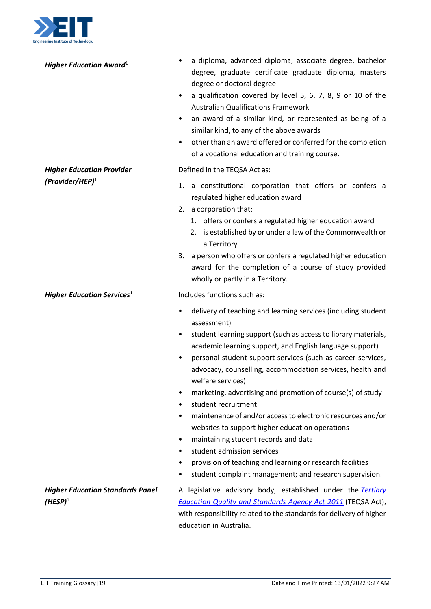

| Higher Education Award <sup>1</sup>                    | a diploma, advanced diploma, associate degree, bachelor<br>degree, graduate certificate graduate diploma, masters<br>degree or doctoral degree<br>a qualification covered by level 5, 6, 7, 8, 9 or 10 of the<br>٠<br><b>Australian Qualifications Framework</b><br>an award of a similar kind, or represented as being of a<br>٠<br>similar kind, to any of the above awards<br>other than an award offered or conferred for the completion<br>$\bullet$<br>of a vocational education and training course.                                                                                                                                                                                                                                                                                                   |
|--------------------------------------------------------|---------------------------------------------------------------------------------------------------------------------------------------------------------------------------------------------------------------------------------------------------------------------------------------------------------------------------------------------------------------------------------------------------------------------------------------------------------------------------------------------------------------------------------------------------------------------------------------------------------------------------------------------------------------------------------------------------------------------------------------------------------------------------------------------------------------|
| <b>Higher Education Provider</b><br>$(Provider/HEP)^1$ | Defined in the TEQSA Act as:<br>1. a constitutional corporation that offers or confers a<br>regulated higher education award<br>2. a corporation that:<br>1. offers or confers a regulated higher education award<br>2. is established by or under a law of the Commonwealth or<br>a Territory<br>3. a person who offers or confers a regulated higher education                                                                                                                                                                                                                                                                                                                                                                                                                                              |
| Higher Education Services <sup>1</sup>                 | award for the completion of a course of study provided<br>wholly or partly in a Territory.<br>Includes functions such as:                                                                                                                                                                                                                                                                                                                                                                                                                                                                                                                                                                                                                                                                                     |
|                                                        | delivery of teaching and learning services (including student<br>٠<br>assessment)<br>student learning support (such as access to library materials,<br>٠<br>academic learning support, and English language support)<br>personal student support services (such as career services,<br>٠<br>advocacy, counselling, accommodation services, health and<br>welfare services)<br>marketing, advertising and promotion of course(s) of study<br>student recruitment<br>٠<br>maintenance of and/or access to electronic resources and/or<br>٠<br>websites to support higher education operations<br>maintaining student records and data<br>٠<br>student admission services<br>٠<br>provision of teaching and learning or research facilities<br>٠<br>student complaint management; and research supervision.<br>٠ |
| <b>Higher Education Standards Panel</b><br>$(HESP)^1$  | A legislative advisory body, established under the Tertiary<br><b>Education Quality and Standards Agency Act 2011 (TEQSA Act),</b><br>with responsibility related to the standards for delivery of higher<br>education in Australia.                                                                                                                                                                                                                                                                                                                                                                                                                                                                                                                                                                          |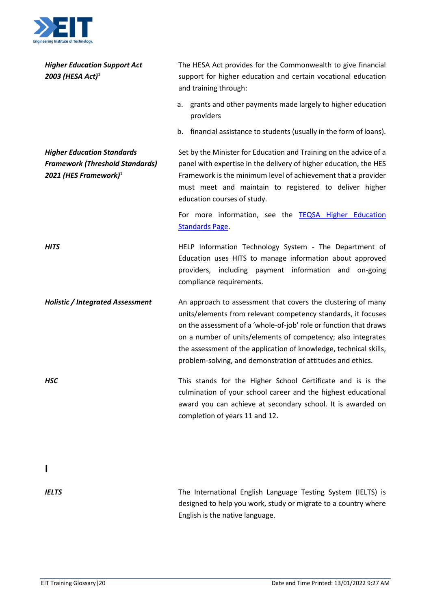

<span id="page-19-0"></span>

| <b>Higher Education Support Act</b><br>2003 (HESA Act) <sup>1</sup>                                     | The HESA Act provides for the Commonwealth to give financial<br>support for higher education and certain vocational education<br>and training through:                                                                                                                                                                                                                                                 |
|---------------------------------------------------------------------------------------------------------|--------------------------------------------------------------------------------------------------------------------------------------------------------------------------------------------------------------------------------------------------------------------------------------------------------------------------------------------------------------------------------------------------------|
|                                                                                                         | a. grants and other payments made largely to higher education<br>providers                                                                                                                                                                                                                                                                                                                             |
|                                                                                                         | b. financial assistance to students (usually in the form of loans).                                                                                                                                                                                                                                                                                                                                    |
| <b>Higher Education Standards</b><br><b>Framework (Threshold Standards)</b><br>2021 (HES Framework) $1$ | Set by the Minister for Education and Training on the advice of a<br>panel with expertise in the delivery of higher education, the HES<br>Framework is the minimum level of achievement that a provider<br>must meet and maintain to registered to deliver higher<br>education courses of study.                                                                                                       |
|                                                                                                         | For more information, see the TEQSA Higher Education<br><b>Standards Page.</b>                                                                                                                                                                                                                                                                                                                         |
| <b>HITS</b>                                                                                             | HELP Information Technology System - The Department of<br>Education uses HITS to manage information about approved<br>including payment information and<br>providers,<br>on-going<br>compliance requirements.                                                                                                                                                                                          |
| <b>Holistic / Integrated Assessment</b>                                                                 | An approach to assessment that covers the clustering of many<br>units/elements from relevant competency standards, it focuses<br>on the assessment of a 'whole-of-job' role or function that draws<br>on a number of units/elements of competency; also integrates<br>the assessment of the application of knowledge, technical skills,<br>problem-solving, and demonstration of attitudes and ethics. |
| <b>HSC</b>                                                                                              | This stands for the Higher School Certificate and is is the<br>culmination of your school career and the highest educational<br>award you can achieve at secondary school. It is awarded on<br>completion of years 11 and 12.                                                                                                                                                                          |
|                                                                                                         |                                                                                                                                                                                                                                                                                                                                                                                                        |
| <b>IELTS</b>                                                                                            | The International English Language Testing System (IELTS) is<br>designed to help you work, study or migrate to a country where<br>English is the native language.                                                                                                                                                                                                                                      |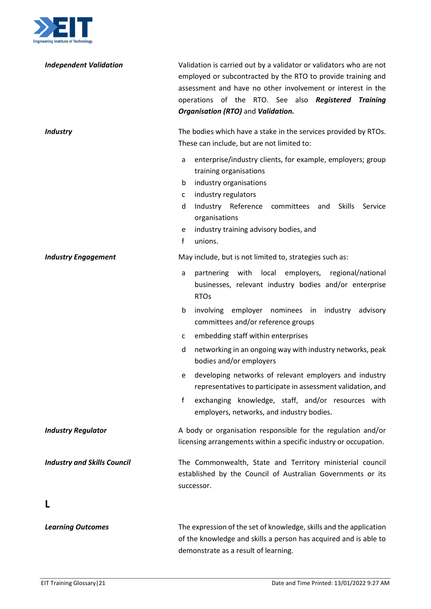

| <b>Independent Validation</b>      | Validation is carried out by a validator or validators who are not<br>employed or subcontracted by the RTO to provide training and<br>assessment and have no other involvement or interest in the<br>operations of the RTO. See also Registered Training<br>Organisation (RTO) and Validation.                   |
|------------------------------------|------------------------------------------------------------------------------------------------------------------------------------------------------------------------------------------------------------------------------------------------------------------------------------------------------------------|
| <b>Industry</b>                    | The bodies which have a stake in the services provided by RTOs.<br>These can include, but are not limited to:                                                                                                                                                                                                    |
|                                    | enterprise/industry clients, for example, employers; group<br>a<br>training organisations<br>b<br>industry organisations<br>industry regulators<br>C<br>d<br>Industry Reference<br>committees<br><b>Skills</b><br>Service<br>and<br>organisations<br>industry training advisory bodies, and<br>e<br>f<br>unions. |
| <b>Industry Engagement</b>         | May include, but is not limited to, strategies such as:                                                                                                                                                                                                                                                          |
|                                    | with<br>local<br>employers, regional/national<br>partnering<br>a<br>businesses, relevant industry bodies and/or enterprise<br><b>RTOs</b>                                                                                                                                                                        |
|                                    | involving employer nominees in industry<br>b<br>advisory<br>committees and/or reference groups                                                                                                                                                                                                                   |
|                                    | embedding staff within enterprises<br>C                                                                                                                                                                                                                                                                          |
|                                    | networking in an ongoing way with industry networks, peak<br>d<br>bodies and/or employers                                                                                                                                                                                                                        |
|                                    | developing networks of relevant employers and industry<br>e<br>representatives to participate in assessment validation, and                                                                                                                                                                                      |
|                                    | exchanging knowledge, staff, and/or resources with<br>f<br>employers, networks, and industry bodies.                                                                                                                                                                                                             |
| <b>Industry Regulator</b>          | A body or organisation responsible for the regulation and/or<br>licensing arrangements within a specific industry or occupation.                                                                                                                                                                                 |
| <b>Industry and Skills Council</b> | The Commonwealth, State and Territory ministerial council<br>established by the Council of Australian Governments or its<br>successor.                                                                                                                                                                           |
|                                    |                                                                                                                                                                                                                                                                                                                  |
| <b>Learning Outcomes</b>           | The expression of the set of knowledge, skills and the application<br>of the knowledge and skills a person has acquired and is able to                                                                                                                                                                           |

<span id="page-20-0"></span>demonstrate as a result of learning.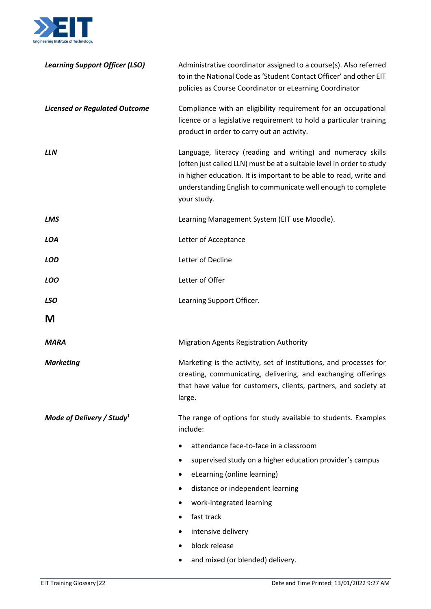

<span id="page-21-0"></span>

| Compliance with an eligibility requirement for an occupational<br><b>Licensed or Regulated Outcome</b><br>licence or a legislative requirement to hold a particular training<br>product in order to carry out an activity.<br>Language, literacy (reading and writing) and numeracy skills<br>LLN<br>(often just called LLN) must be at a suitable level in order to study<br>in higher education. It is important to be able to read, write and<br>understanding English to communicate well enough to complete<br>your study.<br>Learning Management System (EIT use Moodle).<br>LMS<br>Letter of Acceptance<br><b>LOA</b><br>Letter of Decline<br><b>LOD</b><br>Letter of Offer<br><b>LOO</b><br><b>LSO</b><br>Learning Support Officer.<br>M<br><b>Migration Agents Registration Authority</b><br><b>MARA</b><br>Marketing is the activity, set of institutions, and processes for<br><b>Marketing</b><br>creating, communicating, delivering, and exchanging offerings<br>that have value for customers, clients, partners, and society at |
|-------------------------------------------------------------------------------------------------------------------------------------------------------------------------------------------------------------------------------------------------------------------------------------------------------------------------------------------------------------------------------------------------------------------------------------------------------------------------------------------------------------------------------------------------------------------------------------------------------------------------------------------------------------------------------------------------------------------------------------------------------------------------------------------------------------------------------------------------------------------------------------------------------------------------------------------------------------------------------------------------------------------------------------------------|
|                                                                                                                                                                                                                                                                                                                                                                                                                                                                                                                                                                                                                                                                                                                                                                                                                                                                                                                                                                                                                                                 |
|                                                                                                                                                                                                                                                                                                                                                                                                                                                                                                                                                                                                                                                                                                                                                                                                                                                                                                                                                                                                                                                 |
|                                                                                                                                                                                                                                                                                                                                                                                                                                                                                                                                                                                                                                                                                                                                                                                                                                                                                                                                                                                                                                                 |
|                                                                                                                                                                                                                                                                                                                                                                                                                                                                                                                                                                                                                                                                                                                                                                                                                                                                                                                                                                                                                                                 |
|                                                                                                                                                                                                                                                                                                                                                                                                                                                                                                                                                                                                                                                                                                                                                                                                                                                                                                                                                                                                                                                 |
|                                                                                                                                                                                                                                                                                                                                                                                                                                                                                                                                                                                                                                                                                                                                                                                                                                                                                                                                                                                                                                                 |
|                                                                                                                                                                                                                                                                                                                                                                                                                                                                                                                                                                                                                                                                                                                                                                                                                                                                                                                                                                                                                                                 |
|                                                                                                                                                                                                                                                                                                                                                                                                                                                                                                                                                                                                                                                                                                                                                                                                                                                                                                                                                                                                                                                 |
|                                                                                                                                                                                                                                                                                                                                                                                                                                                                                                                                                                                                                                                                                                                                                                                                                                                                                                                                                                                                                                                 |
| large.                                                                                                                                                                                                                                                                                                                                                                                                                                                                                                                                                                                                                                                                                                                                                                                                                                                                                                                                                                                                                                          |
| Mode of Delivery / Study <sup>1</sup><br>The range of options for study available to students. Examples<br>include:                                                                                                                                                                                                                                                                                                                                                                                                                                                                                                                                                                                                                                                                                                                                                                                                                                                                                                                             |
| attendance face-to-face in a classroom                                                                                                                                                                                                                                                                                                                                                                                                                                                                                                                                                                                                                                                                                                                                                                                                                                                                                                                                                                                                          |
| supervised study on a higher education provider's campus                                                                                                                                                                                                                                                                                                                                                                                                                                                                                                                                                                                                                                                                                                                                                                                                                                                                                                                                                                                        |
| eLearning (online learning)                                                                                                                                                                                                                                                                                                                                                                                                                                                                                                                                                                                                                                                                                                                                                                                                                                                                                                                                                                                                                     |
| distance or independent learning                                                                                                                                                                                                                                                                                                                                                                                                                                                                                                                                                                                                                                                                                                                                                                                                                                                                                                                                                                                                                |
| work-integrated learning                                                                                                                                                                                                                                                                                                                                                                                                                                                                                                                                                                                                                                                                                                                                                                                                                                                                                                                                                                                                                        |
| fast track                                                                                                                                                                                                                                                                                                                                                                                                                                                                                                                                                                                                                                                                                                                                                                                                                                                                                                                                                                                                                                      |
| intensive delivery                                                                                                                                                                                                                                                                                                                                                                                                                                                                                                                                                                                                                                                                                                                                                                                                                                                                                                                                                                                                                              |
| block release<br>and mixed (or blended) delivery.                                                                                                                                                                                                                                                                                                                                                                                                                                                                                                                                                                                                                                                                                                                                                                                                                                                                                                                                                                                               |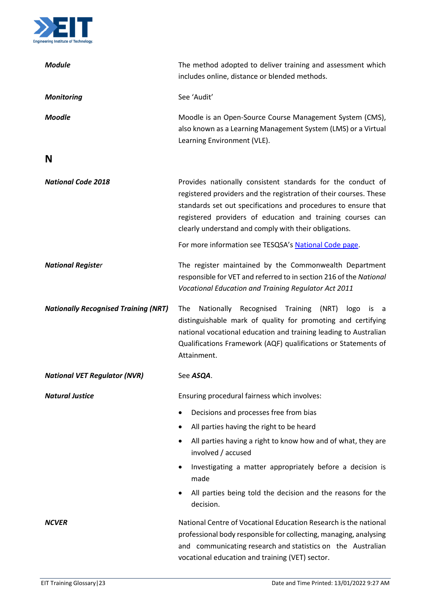

<span id="page-22-0"></span>

| <b>Module</b>                               | The method adopted to deliver training and assessment which<br>includes online, distance or blended methods.                                                                                                                                                                                                              |
|---------------------------------------------|---------------------------------------------------------------------------------------------------------------------------------------------------------------------------------------------------------------------------------------------------------------------------------------------------------------------------|
| <b>Monitoring</b>                           | See 'Audit'                                                                                                                                                                                                                                                                                                               |
| <b>Moodle</b>                               | Moodle is an Open-Source Course Management System (CMS),<br>also known as a Learning Management System (LMS) or a Virtual<br>Learning Environment (VLE).                                                                                                                                                                  |
| N                                           |                                                                                                                                                                                                                                                                                                                           |
| <b>National Code 2018</b>                   | Provides nationally consistent standards for the conduct of<br>registered providers and the registration of their courses. These<br>standards set out specifications and procedures to ensure that<br>registered providers of education and training courses can<br>clearly understand and comply with their obligations. |
|                                             | For more information see TESQSA's National Code page.                                                                                                                                                                                                                                                                     |
| <b>National Register</b>                    | The register maintained by the Commonwealth Department<br>responsible for VET and referred to in section 216 of the National<br>Vocational Education and Training Regulator Act 2011                                                                                                                                      |
| <b>Nationally Recognised Training (NRT)</b> | Recognised<br>Training<br>The<br>Nationally<br>(NRT)<br>logo<br>is<br>a a<br>distinguishable mark of quality for promoting and certifying<br>national vocational education and training leading to Australian<br>Qualifications Framework (AQF) qualifications or Statements of<br>Attainment.                            |
| <b>National VET Regulator (NVR)</b>         | See ASQA.                                                                                                                                                                                                                                                                                                                 |
| <b>Natural Justice</b>                      | Ensuring procedural fairness which involves:                                                                                                                                                                                                                                                                              |
|                                             | Decisions and processes free from bias                                                                                                                                                                                                                                                                                    |
|                                             | All parties having the right to be heard                                                                                                                                                                                                                                                                                  |
|                                             | All parties having a right to know how and of what, they are<br>involved / accused                                                                                                                                                                                                                                        |
|                                             | Investigating a matter appropriately before a decision is<br>made                                                                                                                                                                                                                                                         |
|                                             | All parties being told the decision and the reasons for the<br>decision.                                                                                                                                                                                                                                                  |
| <b>NCVER</b>                                | National Centre of Vocational Education Research is the national<br>professional body responsible for collecting, managing, analysing<br>and communicating research and statistics on the Australian<br>vocational education and training (VET) sector.                                                                   |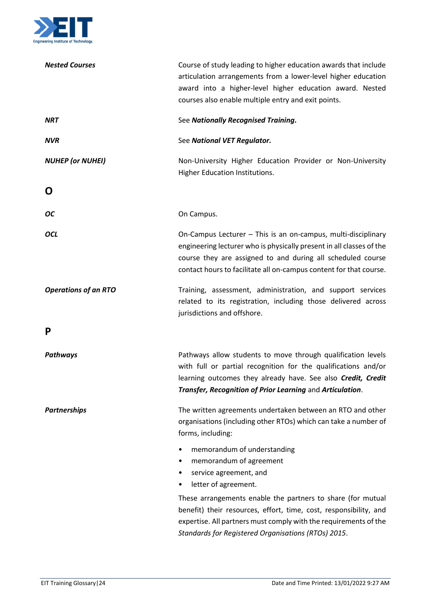

<span id="page-23-1"></span><span id="page-23-0"></span>

| <b>Nested Courses</b>       | Course of study leading to higher education awards that include<br>articulation arrangements from a lower-level higher education<br>award into a higher-level higher education award. Nested<br>courses also enable multiple entry and exit points.                        |
|-----------------------------|----------------------------------------------------------------------------------------------------------------------------------------------------------------------------------------------------------------------------------------------------------------------------|
| <b>NRT</b>                  | See Nationally Recognised Training.                                                                                                                                                                                                                                        |
| <b>NVR</b>                  | See National VET Regulator.                                                                                                                                                                                                                                                |
| <b>NUHEP (or NUHEI)</b>     | Non-University Higher Education Provider or Non-University<br>Higher Education Institutions.                                                                                                                                                                               |
| O                           |                                                                                                                                                                                                                                                                            |
| <b>OC</b>                   | On Campus.                                                                                                                                                                                                                                                                 |
| <b>OCL</b>                  | On-Campus Lecturer - This is an on-campus, multi-disciplinary<br>engineering lecturer who is physically present in all classes of the<br>course they are assigned to and during all scheduled course<br>contact hours to facilitate all on-campus content for that course. |
| <b>Operations of an RTO</b> | Training, assessment, administration, and support services<br>related to its registration, including those delivered across<br>jurisdictions and offshore.                                                                                                                 |
| P                           |                                                                                                                                                                                                                                                                            |
| Pathways                    | Pathways allow students to move through qualification levels<br>with full or partial recognition for the qualifications and/or<br>learning outcomes they already have. See also Credit, Credit<br>Transfer, Recognition of Prior Learning and Articulation.                |
| <b>Partnerships</b>         | The written agreements undertaken between an RTO and other<br>organisations (including other RTOs) which can take a number of<br>forms, including:                                                                                                                         |
|                             | memorandum of understanding<br>٠<br>memorandum of agreement<br>٠<br>service agreement, and<br>$\bullet$<br>letter of agreement.                                                                                                                                            |
|                             | These arrangements enable the partners to share (for mutual<br>benefit) their resources, effort, time, cost, responsibility, and<br>expertise. All partners must comply with the requirements of the<br>Standards for Registered Organisations (RTOs) 2015.                |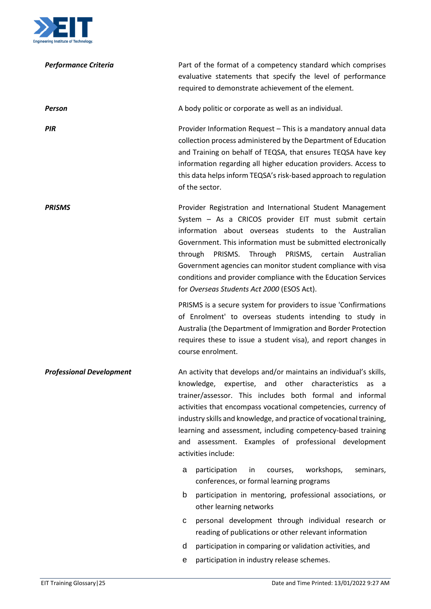

| <b>Performance Criteria</b>     | Part of the format of a competency standard which comprises<br>evaluative statements that specify the level of performance<br>required to demonstrate achievement of the element.                                                                                                                                                                                                                                                                                                               |
|---------------------------------|-------------------------------------------------------------------------------------------------------------------------------------------------------------------------------------------------------------------------------------------------------------------------------------------------------------------------------------------------------------------------------------------------------------------------------------------------------------------------------------------------|
| Person                          | A body politic or corporate as well as an individual.                                                                                                                                                                                                                                                                                                                                                                                                                                           |
| <b>PIR</b>                      | Provider Information Request - This is a mandatory annual data<br>collection process administered by the Department of Education<br>and Training on behalf of TEQSA, that ensures TEQSA have key<br>information regarding all higher education providers. Access to<br>this data helps inform TEQSA's risk-based approach to regulation<br>of the sector.                                                                                                                                       |
| <b>PRISMS</b>                   | Provider Registration and International Student Management<br>System - As a CRICOS provider EIT must submit certain<br>information about overseas students to the Australian<br>Government. This information must be submitted electronically<br>PRISMS.<br>Through<br>PRISMS, certain<br>through<br>Australian<br>Government agencies can monitor student compliance with visa<br>conditions and provider compliance with the Education Services<br>for Overseas Students Act 2000 (ESOS Act). |
|                                 | PRISMS is a secure system for providers to issue 'Confirmations'<br>of Enrolment' to overseas students intending to study in<br>Australia (the Department of Immigration and Border Protection<br>requires these to issue a student visa), and report changes in<br>course enrolment.                                                                                                                                                                                                           |
| <b>Professional Development</b> | An activity that develops and/or maintains an individual's skills,<br>knowledge,<br>expertise, and other<br>characteristics<br>as<br>- a<br>trainer/assessor. This includes both formal and informal<br>activities that encompass vocational competencies, currency of<br>industry skills and knowledge, and practice of vocational training,<br>learning and assessment, including competency-based training<br>and assessment. Examples of professional development<br>activities include:    |
|                                 | participation<br>courses,<br>workshops,<br>seminars,<br>in<br>a<br>conferences, or formal learning programs                                                                                                                                                                                                                                                                                                                                                                                     |
|                                 | participation in mentoring, professional associations, or<br>b<br>other learning networks                                                                                                                                                                                                                                                                                                                                                                                                       |
|                                 | personal development through individual research or<br>С<br>reading of publications or other relevant information                                                                                                                                                                                                                                                                                                                                                                               |
|                                 | participation in comparing or validation activities, and<br>d                                                                                                                                                                                                                                                                                                                                                                                                                                   |
|                                 | participation in industry release schemes.<br>e                                                                                                                                                                                                                                                                                                                                                                                                                                                 |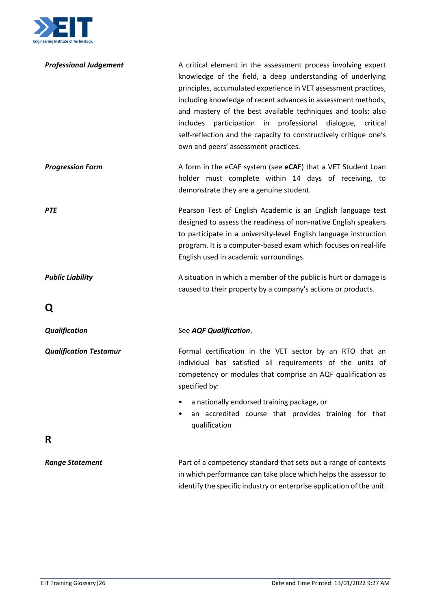

<span id="page-25-1"></span><span id="page-25-0"></span>

| <b>Professional Judgement</b> | A critical element in the assessment process involving expert<br>knowledge of the field, a deep understanding of underlying<br>principles, accumulated experience in VET assessment practices,<br>including knowledge of recent advances in assessment methods,<br>and mastery of the best available techniques and tools; also<br>participation in professional dialogue,<br>includes<br>critical<br>self-reflection and the capacity to constructively critique one's<br>own and peers' assessment practices. |
|-------------------------------|-----------------------------------------------------------------------------------------------------------------------------------------------------------------------------------------------------------------------------------------------------------------------------------------------------------------------------------------------------------------------------------------------------------------------------------------------------------------------------------------------------------------|
| <b>Progression Form</b>       | A form in the eCAF system (see eCAF) that a VET Student Loan<br>holder must complete within 14 days of receiving, to<br>demonstrate they are a genuine student.                                                                                                                                                                                                                                                                                                                                                 |
| <b>PTE</b>                    | Pearson Test of English Academic is an English language test<br>designed to assess the readiness of non-native English speakers<br>to participate in a university-level English language instruction<br>program. It is a computer-based exam which focuses on real-life<br>English used in academic surroundings.                                                                                                                                                                                               |
| <b>Public Liability</b>       | A situation in which a member of the public is hurt or damage is<br>caused to their property by a company's actions or products.                                                                                                                                                                                                                                                                                                                                                                                |
| Q                             |                                                                                                                                                                                                                                                                                                                                                                                                                                                                                                                 |
| <b>Qualification</b>          | See AQF Qualification.                                                                                                                                                                                                                                                                                                                                                                                                                                                                                          |
| <b>Qualification Testamur</b> | Formal certification in the VET sector by an RTO that an<br>individual has satisfied all requirements of the units of<br>competency or modules that comprise an AQF qualification as<br>specified by:                                                                                                                                                                                                                                                                                                           |
|                               | a nationally endorsed training package, or<br>٠<br>an accredited course that provides training for that<br>٠<br>qualification                                                                                                                                                                                                                                                                                                                                                                                   |
| R                             |                                                                                                                                                                                                                                                                                                                                                                                                                                                                                                                 |
| <b>Range Statement</b>        | Part of a competency standard that sets out a range of contexts<br>in which performance can take place which helps the assessor to<br>identify the specific industry or enterprise application of the unit.                                                                                                                                                                                                                                                                                                     |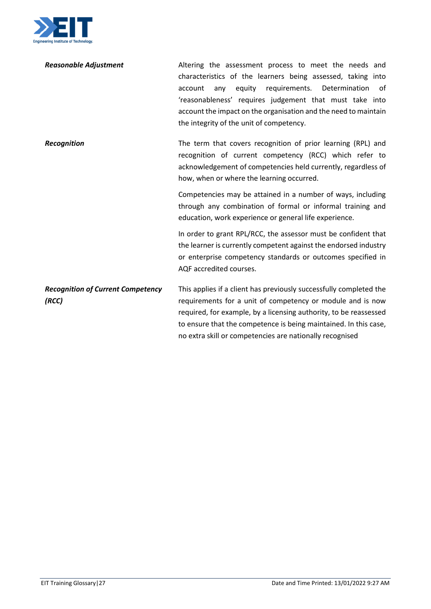

| <b>Reasonable Adjustment</b>                      | Altering the assessment process to meet the needs and<br>characteristics of the learners being assessed, taking into<br>equity requirements. Determination<br>of<br>account<br>any<br>'reasonableness' requires judgement that must take into<br>account the impact on the organisation and the need to maintain<br>the integrity of the unit of competency. |
|---------------------------------------------------|--------------------------------------------------------------------------------------------------------------------------------------------------------------------------------------------------------------------------------------------------------------------------------------------------------------------------------------------------------------|
| <b>Recognition</b>                                | The term that covers recognition of prior learning (RPL) and<br>recognition of current competency (RCC) which refer to<br>acknowledgement of competencies held currently, regardless of<br>how, when or where the learning occurred.                                                                                                                         |
|                                                   | Competencies may be attained in a number of ways, including<br>through any combination of formal or informal training and<br>education, work experience or general life experience.                                                                                                                                                                          |
|                                                   | In order to grant RPL/RCC, the assessor must be confident that<br>the learner is currently competent against the endorsed industry<br>or enterprise competency standards or outcomes specified in<br>AQF accredited courses.                                                                                                                                 |
| <b>Recognition of Current Competency</b><br>(RCC) | This applies if a client has previously successfully completed the<br>requirements for a unit of competency or module and is now<br>required, for example, by a licensing authority, to be reassessed<br>to ensure that the competence is being maintained. In this case,<br>no extra skill or competencies are nationally recognised                        |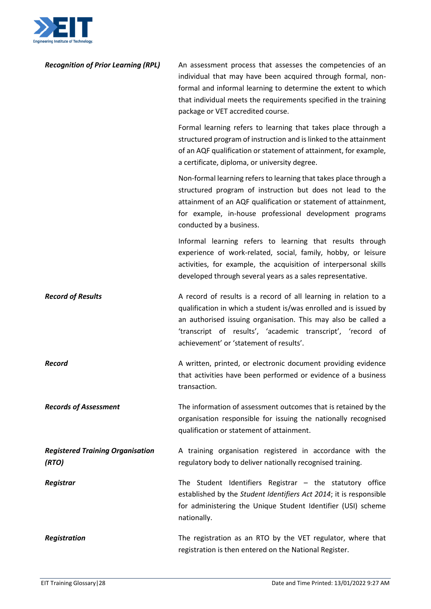

| <b>Recognition of Prior Learning (RPL)</b>       | An assessment process that assesses the competencies of an<br>individual that may have been acquired through formal, non-<br>formal and informal learning to determine the extent to which<br>that individual meets the requirements specified in the training<br>package or VET accredited course.             |
|--------------------------------------------------|-----------------------------------------------------------------------------------------------------------------------------------------------------------------------------------------------------------------------------------------------------------------------------------------------------------------|
|                                                  | Formal learning refers to learning that takes place through a<br>structured program of instruction and is linked to the attainment<br>of an AQF qualification or statement of attainment, for example,<br>a certificate, diploma, or university degree.                                                         |
|                                                  | Non-formal learning refers to learning that takes place through a<br>structured program of instruction but does not lead to the<br>attainment of an AQF qualification or statement of attainment,<br>for example, in-house professional development programs<br>conducted by a business.                        |
|                                                  | Informal learning refers to learning that results through<br>experience of work-related, social, family, hobby, or leisure<br>activities, for example, the acquisition of interpersonal skills<br>developed through several years as a sales representative.                                                    |
| <b>Record of Results</b>                         | A record of results is a record of all learning in relation to a<br>qualification in which a student is/was enrolled and is issued by<br>an authorised issuing organisation. This may also be called a<br>'transcript of results', 'academic transcript', 'record of<br>achievement' or 'statement of results'. |
| <b>Record</b>                                    | A written, printed, or electronic document providing evidence<br>that activities have been performed or evidence of a business<br>transaction.                                                                                                                                                                  |
| <b>Records of Assessment</b>                     | The information of assessment outcomes that is retained by the<br>organisation responsible for issuing the nationally recognised<br>qualification or statement of attainment.                                                                                                                                   |
| <b>Registered Training Organisation</b><br>(RTO) | A training organisation registered in accordance with the<br>regulatory body to deliver nationally recognised training.                                                                                                                                                                                         |
| Registrar                                        | The Student Identifiers Registrar $-$ the statutory office<br>established by the Student Identifiers Act 2014; it is responsible<br>for administering the Unique Student Identifier (USI) scheme<br>nationally.                                                                                                 |
| <b>Registration</b>                              | The registration as an RTO by the VET regulator, where that<br>registration is then entered on the National Register.                                                                                                                                                                                           |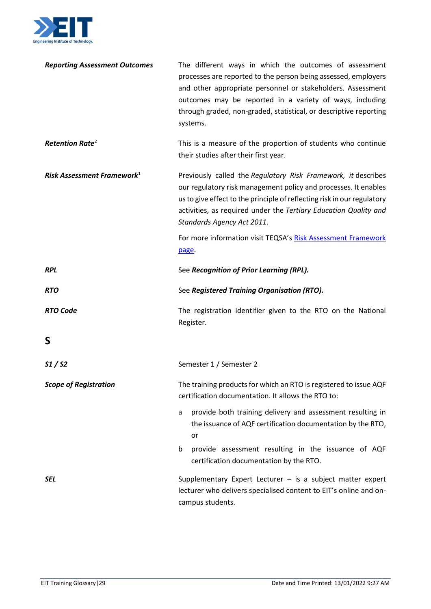

<span id="page-28-0"></span>

| <b>Reporting Assessment Outcomes</b> | The different ways in which the outcomes of assessment<br>processes are reported to the person being assessed, employers<br>and other appropriate personnel or stakeholders. Assessment<br>outcomes may be reported in a variety of ways, including<br>through graded, non-graded, statistical, or descriptive reporting<br>systems. |
|--------------------------------------|--------------------------------------------------------------------------------------------------------------------------------------------------------------------------------------------------------------------------------------------------------------------------------------------------------------------------------------|
| <b>Retention Rate<sup>2</sup></b>    | This is a measure of the proportion of students who continue<br>their studies after their first year.                                                                                                                                                                                                                                |
| Risk Assessment Framework $1$        | Previously called the Regulatory Risk Framework, it describes<br>our regulatory risk management policy and processes. It enables<br>us to give effect to the principle of reflecting risk in our regulatory<br>activities, as required under the Tertiary Education Quality and<br>Standards Agency Act 2011.                        |
|                                      | For more information visit TEQSA's Risk Assessment Framework<br>page.                                                                                                                                                                                                                                                                |
| <b>RPL</b>                           | See Recognition of Prior Learning (RPL).                                                                                                                                                                                                                                                                                             |
|                                      |                                                                                                                                                                                                                                                                                                                                      |
| <b>RTO</b>                           | See Registered Training Organisation (RTO).                                                                                                                                                                                                                                                                                          |
| <b>RTO Code</b>                      | The registration identifier given to the RTO on the National<br>Register.                                                                                                                                                                                                                                                            |
| S                                    |                                                                                                                                                                                                                                                                                                                                      |
| S1/S2                                | Semester 1 / Semester 2                                                                                                                                                                                                                                                                                                              |
| <b>Scope of Registration</b>         | The training products for which an RTO is registered to issue AQF<br>certification documentation. It allows the RTO to:                                                                                                                                                                                                              |
|                                      | provide both training delivery and assessment resulting in<br>a<br>the issuance of AQF certification documentation by the RTO,<br>or                                                                                                                                                                                                 |
|                                      | provide assessment resulting in the issuance of AQF<br>b<br>certification documentation by the RTO.                                                                                                                                                                                                                                  |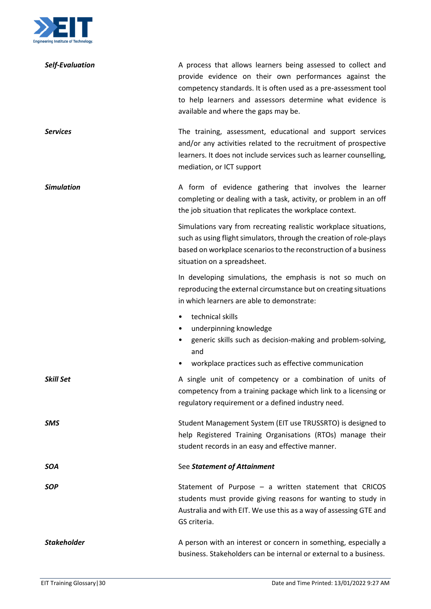

| <b>Self-Evaluation</b> | A process that allows learners being assessed to collect and<br>provide evidence on their own performances against the<br>competency standards. It is often used as a pre-assessment tool<br>to help learners and assessors determine what evidence is<br>available and where the gaps may be. |
|------------------------|------------------------------------------------------------------------------------------------------------------------------------------------------------------------------------------------------------------------------------------------------------------------------------------------|
| <b>Services</b>        | The training, assessment, educational and support services<br>and/or any activities related to the recruitment of prospective<br>learners. It does not include services such as learner counselling,<br>mediation, or ICT support                                                              |
| <b>Simulation</b>      | A form of evidence gathering that involves the learner<br>completing or dealing with a task, activity, or problem in an off<br>the job situation that replicates the workplace context.                                                                                                        |
|                        | Simulations vary from recreating realistic workplace situations,<br>such as using flight simulators, through the creation of role-plays<br>based on workplace scenarios to the reconstruction of a business<br>situation on a spreadsheet.                                                     |
|                        | In developing simulations, the emphasis is not so much on<br>reproducing the external circumstance but on creating situations<br>in which learners are able to demonstrate:                                                                                                                    |
|                        | technical skills<br>٠<br>underpinning knowledge<br>٠<br>generic skills such as decision-making and problem-solving,<br>and<br>workplace practices such as effective communication<br>٠                                                                                                         |
| <b>Skill Set</b>       | A single unit of competency or a combination of units of<br>competency from a training package which link to a licensing or<br>regulatory requirement or a defined industry need.                                                                                                              |
| <b>SMS</b>             | Student Management System (EIT use TRUSSRTO) is designed to<br>help Registered Training Organisations (RTOs) manage their<br>student records in an easy and effective manner.                                                                                                                  |
| <b>SOA</b>             | See Statement of Attainment                                                                                                                                                                                                                                                                    |
| <b>SOP</b>             | Statement of Purpose $-$ a written statement that CRICOS<br>students must provide giving reasons for wanting to study in<br>Australia and with EIT. We use this as a way of assessing GTE and<br>GS criteria.                                                                                  |
| <b>Stakeholder</b>     | A person with an interest or concern in something, especially a<br>business. Stakeholders can be internal or external to a business.                                                                                                                                                           |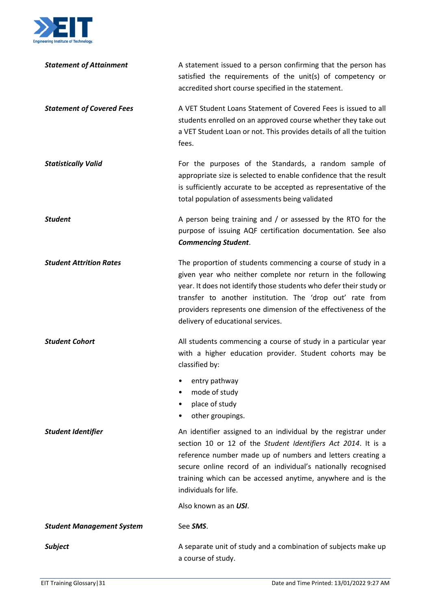

| <b>Statement of Attainment</b>   | A statement issued to a person confirming that the person has<br>satisfied the requirements of the unit(s) of competency or<br>accredited short course specified in the statement.                                                                                                                                                                                    |
|----------------------------------|-----------------------------------------------------------------------------------------------------------------------------------------------------------------------------------------------------------------------------------------------------------------------------------------------------------------------------------------------------------------------|
| <b>Statement of Covered Fees</b> | A VET Student Loans Statement of Covered Fees is issued to all<br>students enrolled on an approved course whether they take out<br>a VET Student Loan or not. This provides details of all the tuition<br>fees.                                                                                                                                                       |
| <b>Statistically Valid</b>       | For the purposes of the Standards, a random sample of<br>appropriate size is selected to enable confidence that the result<br>is sufficiently accurate to be accepted as representative of the<br>total population of assessments being validated                                                                                                                     |
| <b>Student</b>                   | A person being training and / or assessed by the RTO for the<br>purpose of issuing AQF certification documentation. See also<br><b>Commencing Student.</b>                                                                                                                                                                                                            |
| <b>Student Attrition Rates</b>   | The proportion of students commencing a course of study in a<br>given year who neither complete nor return in the following<br>year. It does not identify those students who defer their study or<br>transfer to another institution. The 'drop out' rate from<br>providers represents one dimension of the effectiveness of the<br>delivery of educational services. |
| <b>Student Cohort</b>            | All students commencing a course of study in a particular year<br>with a higher education provider. Student cohorts may be<br>classified by:                                                                                                                                                                                                                          |
|                                  | entry pathway<br>mode of study<br>place of study<br>other groupings.                                                                                                                                                                                                                                                                                                  |
| <b>Student Identifier</b>        | An identifier assigned to an individual by the registrar under<br>section 10 or 12 of the Student Identifiers Act 2014. It is a<br>reference number made up of numbers and letters creating a<br>secure online record of an individual's nationally recognised<br>training which can be accessed anytime, anywhere and is the<br>individuals for life.                |
|                                  | Also known as an USI.                                                                                                                                                                                                                                                                                                                                                 |
| <b>Student Management System</b> | See SMS.                                                                                                                                                                                                                                                                                                                                                              |
| <b>Subject</b>                   | A separate unit of study and a combination of subjects make up<br>a course of study.                                                                                                                                                                                                                                                                                  |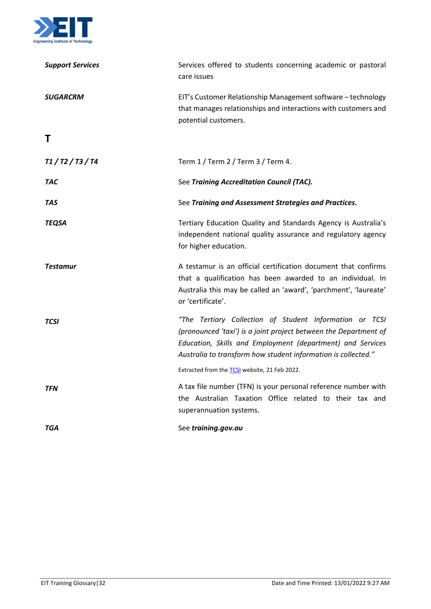

<span id="page-31-0"></span>

| <b>Support Services</b> | Services offered to students concerning academic or pastoral<br>care issues                                                                                                                                                                                |
|-------------------------|------------------------------------------------------------------------------------------------------------------------------------------------------------------------------------------------------------------------------------------------------------|
| <b>SUGARCRM</b>         | EIT's Customer Relationship Management software - technology<br>that manages relationships and interactions with customers and<br>potential customers.                                                                                                     |
| Τ                       |                                                                                                                                                                                                                                                            |
| T1 / T2 / T3 / T4       | Term 1 / Term 2 / Term 3 / Term 4.                                                                                                                                                                                                                         |
| TAC                     | See Training Accreditation Council (TAC).                                                                                                                                                                                                                  |
| TAS                     | See Training and Assessment Strategies and Practices.                                                                                                                                                                                                      |
| <b>TEQSA</b>            | Tertiary Education Quality and Standards Agency is Australia's<br>independent national quality assurance and regulatory agency<br>for higher education.                                                                                                    |
| <b>Testamur</b>         | A testamur is an official certification document that confirms<br>that a qualification has been awarded to an individual. In<br>Australia this may be called an 'award', 'parchment', 'laureate'<br>or 'certificate'.                                      |
| <b>TCSI</b>             | "The Tertiary Collection of Student Information or TCSI<br>(pronounced 'taxi') is a joint project between the Department of<br>Education, Skills and Employment (department) and Services<br>Australia to transform how student information is collected." |
|                         | Extracted from the <b>TCSI</b> website, 21 Feb 2022.                                                                                                                                                                                                       |
| <b>TFN</b>              | A tax file number (TFN) is your personal reference number with<br>the Australian Taxation Office related to their tax and<br>superannuation systems.                                                                                                       |
| TGA                     | See training.gov.au                                                                                                                                                                                                                                        |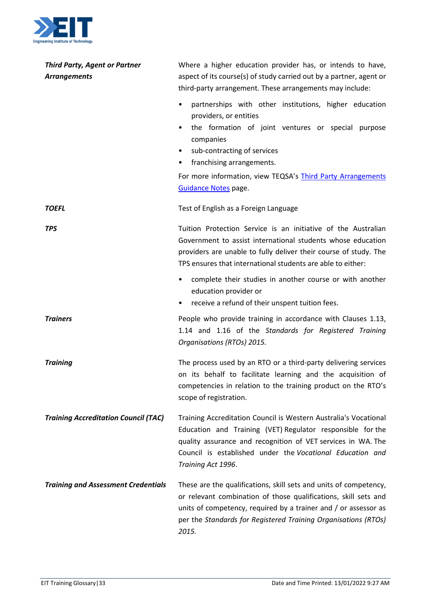

| <b>Third Party, Agent or Partner</b><br><b>Arrangements</b> | Where a higher education provider has, or intends to have,<br>aspect of its course(s) of study carried out by a partner, agent or<br>third-party arrangement. These arrangements may include:<br>partnerships with other institutions, higher education<br>$\bullet$<br>providers, or entities<br>the formation of joint ventures or special purpose<br>companies<br>sub-contracting of services<br>franchising arrangements. |
|-------------------------------------------------------------|-------------------------------------------------------------------------------------------------------------------------------------------------------------------------------------------------------------------------------------------------------------------------------------------------------------------------------------------------------------------------------------------------------------------------------|
|                                                             | For more information, view TEQSA's Third Party Arrangements<br><b>Guidance Notes page.</b>                                                                                                                                                                                                                                                                                                                                    |
| <b>TOEFL</b>                                                | Test of English as a Foreign Language                                                                                                                                                                                                                                                                                                                                                                                         |
| <b>TPS</b>                                                  | Tuition Protection Service is an initiative of the Australian<br>Government to assist international students whose education<br>providers are unable to fully deliver their course of study. The<br>TPS ensures that international students are able to either:                                                                                                                                                               |
|                                                             | complete their studies in another course or with another<br>٠<br>education provider or<br>receive a refund of their unspent tuition fees.<br>$\bullet$                                                                                                                                                                                                                                                                        |
| <b>Trainers</b>                                             | People who provide training in accordance with Clauses 1.13,<br>1.14 and 1.16 of the Standards for Registered Training<br>Organisations (RTOs) 2015.                                                                                                                                                                                                                                                                          |
| <b>Training</b>                                             | The process used by an RTO or a third-party delivering services<br>on its behalf to facilitate learning and the acquisition of<br>competencies in relation to the training product on the RTO's<br>scope of registration.                                                                                                                                                                                                     |
| <b>Training Accreditation Council (TAC)</b>                 | Training Accreditation Council is Western Australia's Vocational<br>Education and Training (VET) Regulator responsible for the<br>quality assurance and recognition of VET services in WA. The<br>Council is established under the Vocational Education and<br>Training Act 1996.                                                                                                                                             |
| <b>Training and Assessment Credentials</b>                  | These are the qualifications, skill sets and units of competency,<br>or relevant combination of those qualifications, skill sets and<br>units of competency, required by a trainer and / or assessor as<br>per the Standards for Registered Training Organisations (RTOs)<br>2015.                                                                                                                                            |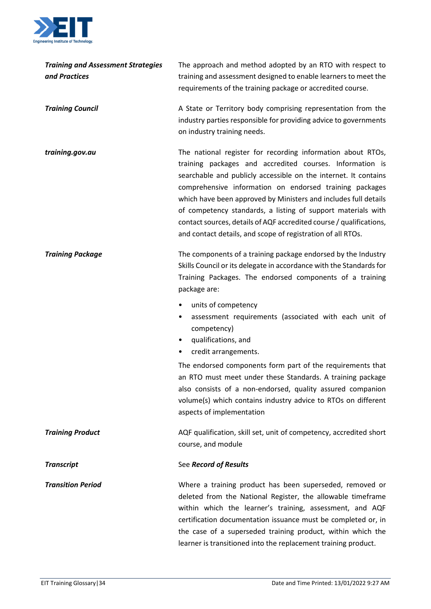

| <b>Training and Assessment Strategies</b><br>and Practices | The approach and method adopted by an RTO with respect to<br>training and assessment designed to enable learners to meet the<br>requirements of the training package or accredited course.                                                                                                                                                                                                                                                                                                                                     |
|------------------------------------------------------------|--------------------------------------------------------------------------------------------------------------------------------------------------------------------------------------------------------------------------------------------------------------------------------------------------------------------------------------------------------------------------------------------------------------------------------------------------------------------------------------------------------------------------------|
| <b>Training Council</b>                                    | A State or Territory body comprising representation from the<br>industry parties responsible for providing advice to governments<br>on industry training needs.                                                                                                                                                                                                                                                                                                                                                                |
| training.gov.au                                            | The national register for recording information about RTOs,<br>training packages and accredited courses. Information is<br>searchable and publicly accessible on the internet. It contains<br>comprehensive information on endorsed training packages<br>which have been approved by Ministers and includes full details<br>of competency standards, a listing of support materials with<br>contact sources, details of AQF accredited course / qualifications,<br>and contact details, and scope of registration of all RTOs. |
| <b>Training Package</b>                                    | The components of a training package endorsed by the Industry<br>Skills Council or its delegate in accordance with the Standards for<br>Training Packages. The endorsed components of a training<br>package are:                                                                                                                                                                                                                                                                                                               |
|                                                            | units of competency<br>٠<br>assessment requirements (associated with each unit of<br>٠<br>competency)<br>qualifications, and<br>٠<br>credit arrangements.                                                                                                                                                                                                                                                                                                                                                                      |
|                                                            | The endorsed components form part of the requirements that<br>an RTO must meet under these Standards. A training package<br>also consists of a non-endorsed, quality assured companion<br>volume(s) which contains industry advice to RTOs on different<br>aspects of implementation                                                                                                                                                                                                                                           |
| <b>Training Product</b>                                    | AQF qualification, skill set, unit of competency, accredited short<br>course, and module                                                                                                                                                                                                                                                                                                                                                                                                                                       |
| <b>Transcript</b>                                          | See Record of Results                                                                                                                                                                                                                                                                                                                                                                                                                                                                                                          |
| <b>Transition Period</b>                                   | Where a training product has been superseded, removed or<br>deleted from the National Register, the allowable timeframe<br>within which the learner's training, assessment, and AQF<br>certification documentation issuance must be completed or, in<br>the case of a superseded training product, within which the<br>learner is transitioned into the replacement training product.                                                                                                                                          |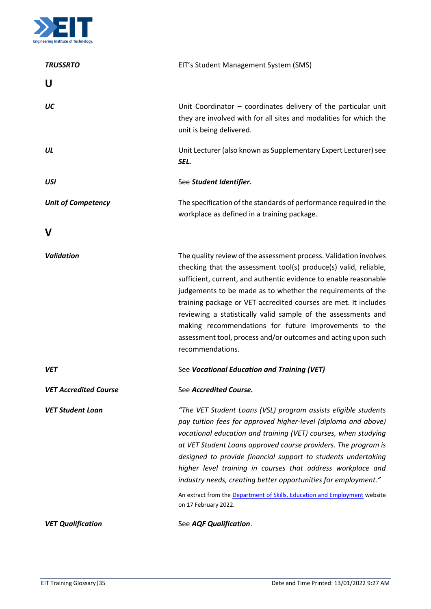

<span id="page-34-1"></span><span id="page-34-0"></span>

| <b>TRUSSRTO</b>              | EIT's Student Management System (SMS)                                                                                                                                                                                                                                                                                                                                                                                                                                                                                                                                        |
|------------------------------|------------------------------------------------------------------------------------------------------------------------------------------------------------------------------------------------------------------------------------------------------------------------------------------------------------------------------------------------------------------------------------------------------------------------------------------------------------------------------------------------------------------------------------------------------------------------------|
| U                            |                                                                                                                                                                                                                                                                                                                                                                                                                                                                                                                                                                              |
| UC                           | Unit Coordinator $-$ coordinates delivery of the particular unit<br>they are involved with for all sites and modalities for which the<br>unit is being delivered.                                                                                                                                                                                                                                                                                                                                                                                                            |
| UL                           | Unit Lecturer (also known as Supplementary Expert Lecturer) see<br>SEL.                                                                                                                                                                                                                                                                                                                                                                                                                                                                                                      |
| <b>USI</b>                   | See Student Identifier.                                                                                                                                                                                                                                                                                                                                                                                                                                                                                                                                                      |
| <b>Unit of Competency</b>    | The specification of the standards of performance required in the<br>workplace as defined in a training package.                                                                                                                                                                                                                                                                                                                                                                                                                                                             |
| v                            |                                                                                                                                                                                                                                                                                                                                                                                                                                                                                                                                                                              |
| <b>Validation</b>            | The quality review of the assessment process. Validation involves<br>checking that the assessment tool(s) produce(s) valid, reliable,<br>sufficient, current, and authentic evidence to enable reasonable<br>judgements to be made as to whether the requirements of the<br>training package or VET accredited courses are met. It includes<br>reviewing a statistically valid sample of the assessments and<br>making recommendations for future improvements to the<br>assessment tool, process and/or outcomes and acting upon such<br>recommendations.                   |
| <b>VET</b>                   | See Vocational Education and Training (VET)                                                                                                                                                                                                                                                                                                                                                                                                                                                                                                                                  |
| <b>VET Accredited Course</b> | See Accredited Course.                                                                                                                                                                                                                                                                                                                                                                                                                                                                                                                                                       |
| <b>VET Student Loan</b>      | "The VET Student Loans (VSL) program assists eligible students<br>pay tuition fees for approved higher-level (diploma and above)<br>vocational education and training (VET) courses, when studying<br>at VET Student Loans approved course providers. The program is<br>designed to provide financial support to students undertaking<br>higher level training in courses that address workplace and<br>industry needs, creating better opportunities for employment."<br>An extract from the Department of Skills, Education and Employment website<br>on 17 February 2022. |
| <b>VET Qualification</b>     | See AQF Qualification.                                                                                                                                                                                                                                                                                                                                                                                                                                                                                                                                                       |